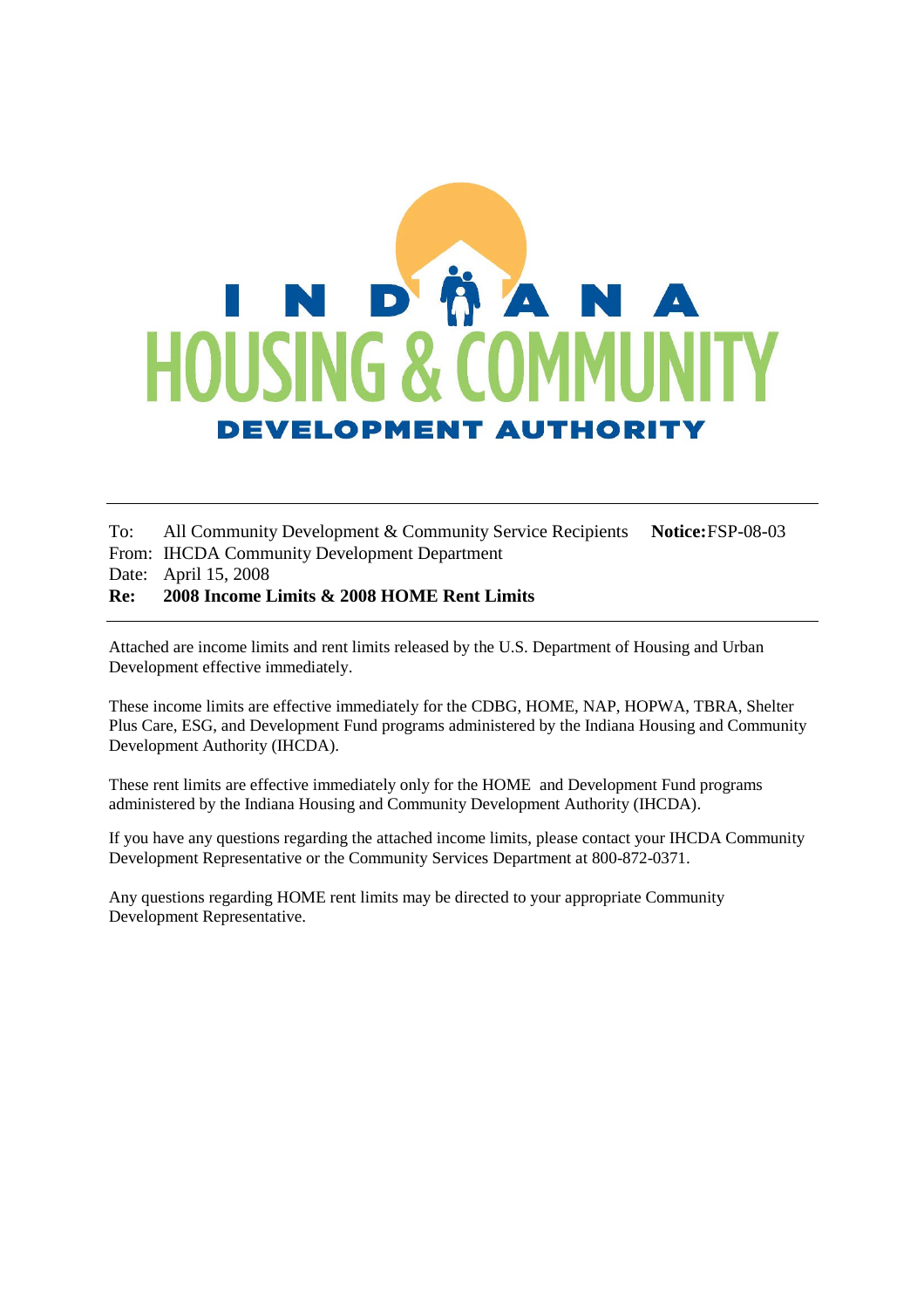# **ÖA** N D **HOUSING & DEVELOPMENT AUTHORITY**

To: All Community Development & Community Service Recipients **Notice:**FSP-08-03 From: IHCDA Community Development Department Date: April 15, 2008 **Re: 2008 Income Limits & 2008 HOME Rent Limits**

Attached are income limits and rent limits released by the U.S. Department of Housing and Urban Development effective immediately.

These income limits are effective immediately for the CDBG, HOME, NAP, HOPWA, TBRA, Shelter Plus Care, ESG, and Development Fund programs administered by the Indiana Housing and Community Development Authority (IHCDA).

These rent limits are effective immediately only for the HOME and Development Fund programs administered by the Indiana Housing and Community Development Authority (IHCDA).

If you have any questions regarding the attached income limits, please contact your IHCDA Community Development Representative or the Community Services Department at 800-872-0371.

Any questions regarding HOME rent limits may be directed to your appropriate Community Development Representative.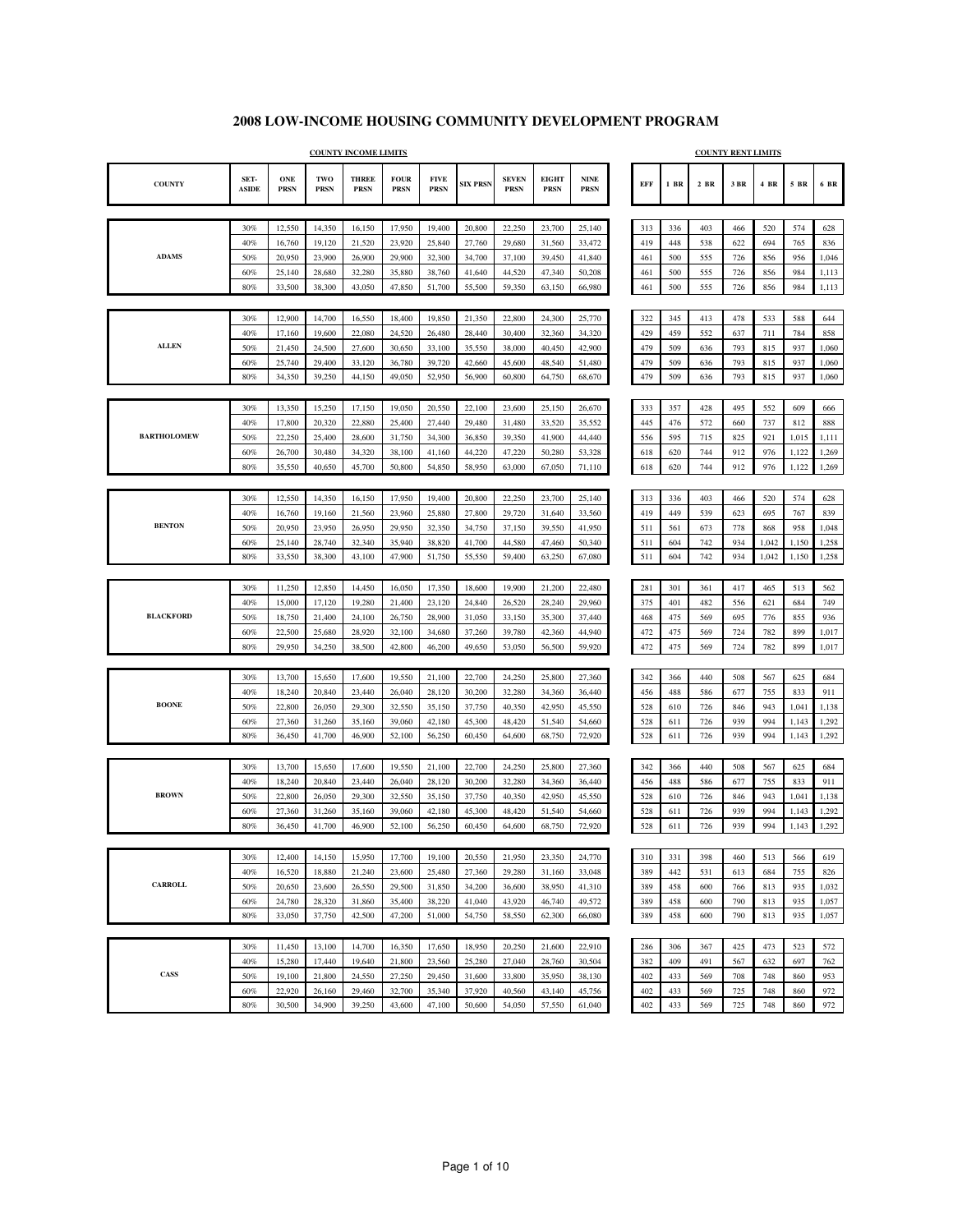|                    |                      |                           |                    | <b>COUNTY INCOME LIMITS</b> |                            |                            |                 |                             |                             |                     |            |        |        | <b>COUNTY RENT LIMITS</b> |       |       |       |
|--------------------|----------------------|---------------------------|--------------------|-----------------------------|----------------------------|----------------------------|-----------------|-----------------------------|-----------------------------|---------------------|------------|--------|--------|---------------------------|-------|-------|-------|
| <b>COUNTY</b>      | SET-<br><b>ASIDE</b> | <b>ONE</b><br><b>PRSN</b> | TWO<br><b>PRSN</b> | <b>THREE</b><br><b>PRSN</b> | <b>FOUR</b><br><b>PRSN</b> | <b>FIVE</b><br><b>PRSN</b> | <b>SIX PRSN</b> | <b>SEVEN</b><br><b>PRSN</b> | <b>EIGHT</b><br><b>PRSN</b> | <b>NINE</b><br>PRSN | <b>EFF</b> | $1$ BR | $2$ BR | 3 BR                      | 4 BR  | 5 BR  | 6 BR  |
|                    |                      |                           |                    |                             |                            |                            |                 |                             |                             |                     |            |        |        |                           |       |       |       |
|                    | 30%                  | 12,550                    | 14,350             | 16,150                      | 17,950                     | 19,400                     | 20,800          | 22,250                      | 23,700                      | 25,140              | 313        | 336    | 403    | 466                       | 520   | 574   | 628   |
|                    | 40%                  | 16,760                    | 19,120             | 21,520                      | 23,920                     | 25,840                     | 27,760          | 29,680                      | 31,560                      | 33,472              | 419        | 448    | 538    | 622                       | 694   | 765   | 836   |
| <b>ADAMS</b>       | 50%                  | 20,950                    | 23,900             | 26,900                      | 29,900                     | 32,300                     | 34,700          | 37,100                      | 39,450                      | 41,840              | 461        | 500    | 555    | 726                       | 856   | 956   | 1,046 |
|                    | 60%                  | 25,140                    | 28,680             | 32,280                      | 35,880                     | 38,760                     | 41,640          | 44,520                      | 47,340                      | 50,208              | 461        | 500    | 555    | 726                       | 856   | 984   | 1,113 |
|                    | 80%                  | 33,500                    | 38,300             | 43,050                      | 47,850                     | 51,700                     | 55,500          | 59,350                      | 63,150                      | 66,980              | 461        | 500    | 555    | 726                       | 856   | 984   | 1,113 |
|                    |                      |                           |                    |                             |                            |                            |                 |                             |                             |                     |            |        |        |                           |       |       |       |
|                    | 30%                  | 12,900                    | 14,700             | 16,550                      | 18,400                     | 19,850                     | 21,350          | 22,800                      | 24,300                      | 25,770              | 322        | 345    | 413    | 478                       | 533   | 588   | 644   |
|                    | 40%                  | 17,160                    | 19,600             | 22,080                      | 24,520                     | 26,480                     | 28,440          | 30,400                      | 32,360                      | 34,320              | 429        | 459    | 552    | 637                       | 711   | 784   | 858   |
| <b>ALLEN</b>       | 50%                  | 21,450                    | 24,500             | 27,600                      | 30,650                     | 33,100                     | 35,550          | 38,000                      | 40,450                      | 42,900              | 479        | 509    | 636    | 793                       | 815   | 937   | 1,060 |
|                    | 60%                  | 25,740                    | 29,400             | 33,120                      | 36,780                     | 39,720                     | 42,660          | 45,600                      | 48,540                      | 51,480              | 479        | 509    | 636    | 793                       | 815   | 937   | 1,060 |
|                    | 80%                  | 34,350                    | 39,250             | 44,150                      | 49,050                     | 52,950                     | 56,900          | 60,800                      | 64,750                      | 68,670              | 479        | 509    | 636    | 793                       | 815   | 937   | 1,060 |
|                    |                      |                           |                    |                             |                            |                            |                 |                             |                             |                     |            |        |        |                           |       |       |       |
|                    | 30%                  | 13,350                    | 15,250             | 17,150                      | 19,050                     | 20,550                     | 22,100          | 23,600                      | 25,150                      | 26,670              | 333        | 357    | 428    | 495                       | 552   | 609   | 666   |
|                    | 40%                  | 17,800                    | 20,320             | 22,880                      | 25,400                     | 27,440                     | 29,480          | 31,480                      | 33,520                      | 35,552              | 445        | 476    | 572    | 660                       | 737   | 812   | 888   |
| <b>BARTHOLOMEW</b> | 50%                  | 22,250                    | 25,400             | 28,600                      | 31,750                     | 34,300                     | 36,850          | 39,350                      | 41,900                      | 44,440              | 556        | 595    | 715    | 825                       | 921   | 1,015 | 1,111 |
|                    | 60%                  | 26,700                    | 30,480             | 34,320                      | 38,100                     | 41,160                     | 44,220          | 47,220                      | 50,280                      | 53,328              | 618        | 620    | 744    | 912                       | 976   | 1,122 | 1,269 |
|                    | 80%                  | 35,550                    | 40,650             | 45,700                      | 50,800                     | 54,850                     | 58,950          | 63,000                      | 67,050                      | 71,110              | 618        | 620    | 744    | 912                       | 976   | 1,122 | 1,269 |
|                    |                      |                           |                    |                             |                            |                            |                 |                             |                             |                     |            |        |        |                           |       |       |       |
|                    | 30%                  | 12,550                    | 14,350             | 16,150                      | 17,950                     | 19,400                     | 20,800          | 22,250                      | 23,700                      | 25,140              | 313        | 336    | 403    | 466                       | 520   | 574   | 628   |
|                    | 40%                  | 16,760                    | 19,160             | 21,560                      | 23,960                     | 25,880                     | 27,800          | 29,720                      | 31,640                      | 33,560              | 419        | 449    | 539    | 623                       | 695   | 767   | 839   |
| <b>BENTON</b>      | 50%                  | 20,950                    | 23,950             | 26,950                      | 29,950                     | 32,350                     | 34,750          | 37,150                      | 39,550                      | 41,950              | 511        | 561    | 673    | 778                       | 868   | 958   | 1,048 |
|                    | 60%                  | 25,140                    | 28,740             | 32,340                      | 35,940                     | 38,820                     | 41,700          | 44,580                      | 47,460                      | 50,340              | 511        | 604    | 742    | 934                       | 1,042 | 1,150 | 1,258 |
|                    | 80%                  | 33,550                    | 38,300             | 43,100                      | 47,900                     | 51,750                     | 55,550          | 59,400                      | 63,250                      | 67,080              | 511        | 604    | 742    | 934                       | 1,042 | 1,150 | 1,258 |
|                    | 30%                  | 11,250                    | 12,850             | 14,450                      | 16,050                     | 17,350                     | 18,600          | 19,900                      | 21,200                      | 22,480              | 281        | 301    | 361    | 417                       | 465   | 513   | 562   |
|                    | 40%                  | 15,000                    | 17,120             | 19,280                      | 21,400                     | 23,120                     | 24,840          | 26,520                      | 28,240                      | 29,960              | 375        | 401    | 482    | 556                       | 621   | 684   | 749   |
| <b>BLACKFORD</b>   | 50%                  | 18,750                    | 21,400             | 24,100                      | 26,750                     | 28,900                     | 31,050          | 33,150                      | 35,300                      | 37,440              | 468        | 475    | 569    | 695                       | 776   | 855   | 936   |
|                    | 60%                  | 22,500                    | 25,680             | 28,920                      | 32,100                     | 34,680                     | 37,260          | 39,780                      | 42,360                      | 44,940              | 472        | 475    | 569    | 724                       | 782   | 899   | 1,017 |
|                    | 80%                  | 29,950                    | 34,250             | 38,500                      | 42,800                     | 46,200                     | 49,650          | 53,050                      | 56,500                      | 59,920              | 472        | 475    | 569    | 724                       | 782   | 899   | 1,017 |
|                    |                      |                           |                    |                             |                            |                            |                 |                             |                             |                     |            |        |        |                           |       |       |       |
|                    | 30%                  | 13,700                    | 15,650             | 17,600                      | 19,550                     | 21,100                     | 22,700          | 24,250                      | 25,800                      | 27,360              | 342        | 366    | 440    | 508                       | 567   | 625   | 684   |
|                    | 40%                  | 18,240                    | 20,840             | 23,440                      | 26,040                     | 28,120                     | 30,200          | 32,280                      | 34,360                      | 36,440              | 456        | 488    | 586    | 677                       | 755   | 833   | 911   |
| <b>BOONE</b>       | 50%                  | 22,800                    | 26,050             | 29,300                      | 32,550                     | 35,150                     | 37,750          | 40,350                      | 42,950                      | 45,550              | 528        | 610    | 726    | 846                       | 943   | 1,041 | 1,138 |
|                    | 60%                  | 27,360                    | 31,260             | 35,160                      | 39,060                     | 42,180                     | 45,300          | 48,420                      | 51,540                      | 54,660              | 528        | 611    | 726    | 939                       | 994   | 1,143 | 1,292 |
|                    | 80%                  | 36,450                    | 41,700             | 46,900                      | 52,100                     | 56,250                     | 60,450          | 64,600                      | 68,750                      | 72,920              | 528        | 611    | 726    | 939                       | 994   | 1,143 | 1,292 |
|                    |                      |                           |                    |                             |                            |                            |                 |                             |                             |                     |            |        |        |                           |       |       |       |
|                    | 30%                  | 13,700                    | 15,650             | 17,600                      | 19,550                     | 21,100                     | 22,700          | 24,250                      | 25,800                      | 27,360              | 342        | 366    | 440    | 508                       | 567   | 625   | 684   |
|                    | 40%                  | 18,240                    | 20,840             | 23,440                      | 26,040                     | 28,120                     | 30,200          | 32,280                      | 34,360                      | 36,440              | 456        | 488    | 586    | 677                       | 755   | 833   | 911   |
| <b>BROWN</b>       | 50%                  | 22,800                    | 26,050             | 29,300                      | 32,550                     | 35,150                     | 37,750          | 40,350                      | 42,950                      | 45,550              | 528        | 610    | 726    | 846                       | 943   | 1,041 | 1,138 |
|                    | 60%                  | 27,360                    | 31,260             | 35,160                      | 39,060                     | 42,180                     | 45,300          | 48,420                      | 51,540                      | 54,660              | 528        | 611    | 726    | 939                       | 994   | 1,143 | 1,292 |
|                    | 80%                  | 36,450                    | 41,700             | 46,900                      | 52,100                     | 56,250                     | 60,450          | 64,600                      | 68,750                      | 72,920              | 528        | 611    | 726    | 939                       | 994   | 1,143 | 1,292 |
|                    |                      |                           |                    |                             |                            |                            |                 |                             |                             |                     |            |        |        |                           |       |       |       |
|                    | 30%                  | 12,400                    | 14,150             | 15,950                      | 17,700                     | 19,100                     | 20,550          | 21,950                      | 23,350                      | 24,770              | 310        | 331    | 398    | 460                       | 513   | 566   | 619   |
|                    | 40%                  | 16,520                    | 18,880             | 21,240                      | 23,600                     | 25,480                     | 27,360          | 29,280                      | 31,160                      | 33,048              | 389        | 442    | 531    | 613                       | 684   | 755   | 826   |
| <b>CARROLL</b>     | 50%                  | 20,650                    | 23,600             | 26,550                      | 29,500                     | 31,850                     | 34,200          | 36,600                      | 38,950                      | 41,310              | 389        | 458    | 600    | 766                       | 813   | 935   | 1,032 |
|                    | $60\%$               | 24,780                    | 28,320             | 31,860                      | 35,400                     | 38,220                     | 41,040          | 43,920                      | 46,740                      | 49,572              | 389        | 458    | 600    | 790                       | 813   | 935   | 1,057 |
|                    | 80%                  | 33,050                    | 37,750             | 42,500                      | 47,200                     | 51,000                     | 54,750          | 58,550                      | 62,300                      | 66,080              | 389        | 458    | 600    | 790                       | 813   | 935   | 1,057 |
|                    |                      |                           |                    |                             |                            |                            |                 |                             |                             |                     |            |        |        |                           |       |       |       |
|                    | 30%                  | 11,450                    | 13,100             | 14,700                      | 16,350                     | 17,650                     | 18,950          | 20,250                      | 21,600                      | 22,910              | 286        | 306    | 367    | 425                       | 473   | 523   | 572   |
|                    | $40\%$               | 15,280                    | 17,440             | 19,640                      | 21,800                     | 23,560                     | 25,280          | 27,040                      | 28,760                      | 30,504              | 382        | 409    | 491    | 567                       | 632   | 697   | 762   |
| CASS               | 50%                  | 19,100                    | 21,800             | 24,550                      | 27,250                     | 29,450                     | 31,600          | 33,800                      | 35,950                      | 38,130              | 402        | 433    | 569    | 708                       | 748   | 860   | 953   |
|                    | $60\%$               | 22,920                    | 26,160             | 29,460                      | 32,700                     | 35,340                     | 37,920          | 40,560                      | 43,140                      | 45,756              | 402        | 433    | 569    | 725                       | 748   | 860   | 972   |
|                    | 80%                  | 30,500                    | 34,900             | 39,250                      | 43,600                     | 47,100                     | 50,600          | 54,050                      | 57,550                      | 61,040              | 402        | 433    | 569    | 725                       | 748   | 860   | 972   |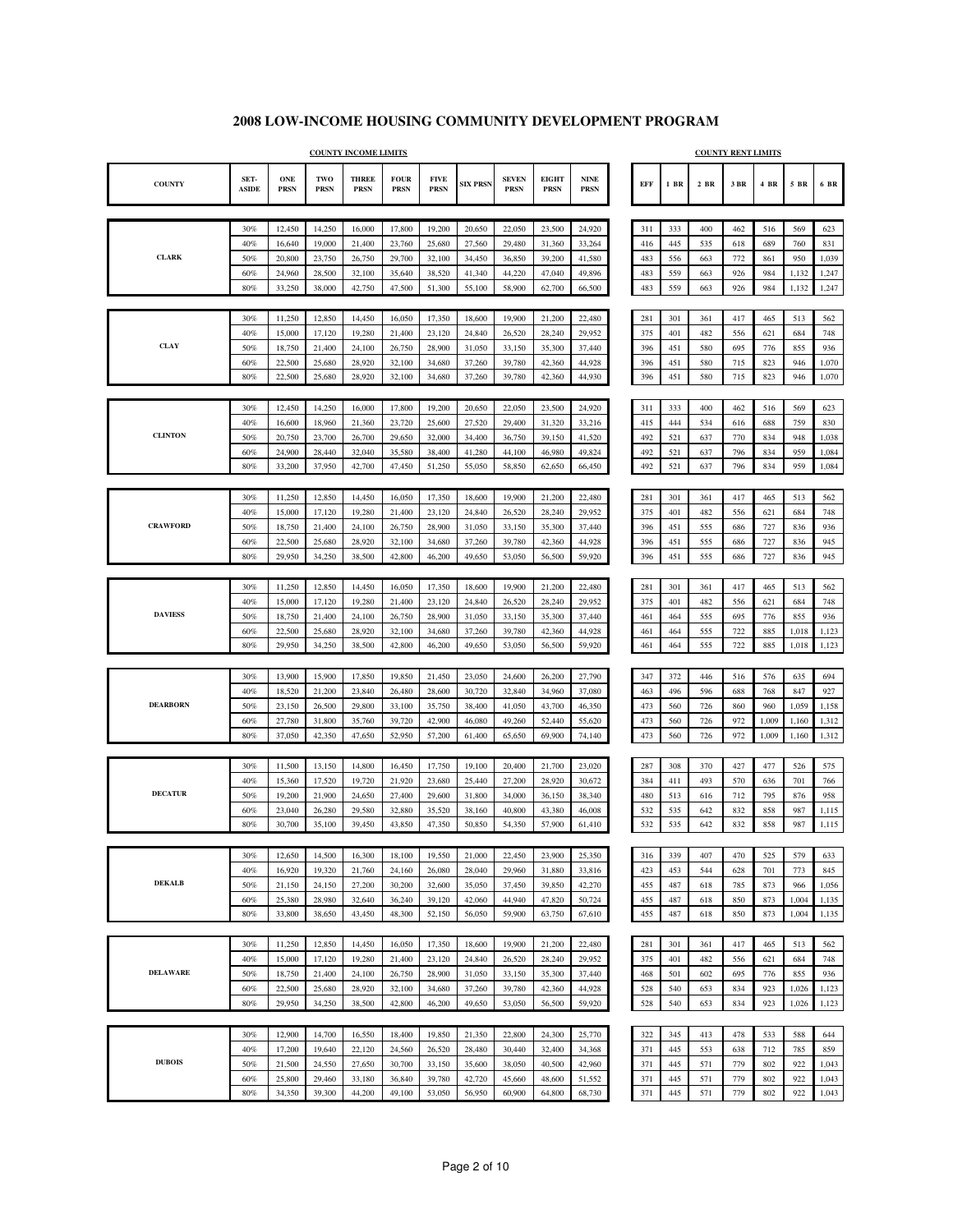|                 |                      |                    |                    | <b>COUNTY INCOME LIMITS</b> |                            |                            |                  |                             |                             |                                             |            |            |            | <b>COUNTY RENT LIMITS</b> |            |              |                |
|-----------------|----------------------|--------------------|--------------------|-----------------------------|----------------------------|----------------------------|------------------|-----------------------------|-----------------------------|---------------------------------------------|------------|------------|------------|---------------------------|------------|--------------|----------------|
| <b>COUNTY</b>   | SET-<br><b>ASIDE</b> | ONE<br><b>PRSN</b> | TWO<br><b>PRSN</b> | <b>THREE</b><br><b>PRSN</b> | <b>FOUR</b><br><b>PRSN</b> | <b>FIVE</b><br><b>PRSN</b> | <b>SIX PRSN</b>  | <b>SEVEN</b><br><b>PRSN</b> | <b>EIGHT</b><br><b>PRSN</b> | $\ensuremath{\mathbf{NINE}}$<br><b>PRSN</b> | <b>EFF</b> | $1$ BR     | $2$ BR     | $3\;\mathrm{BR}$          | 4 BR       | $5\,$ BR     | 6 BR           |
|                 |                      |                    |                    |                             |                            |                            |                  |                             |                             |                                             |            |            |            |                           |            |              |                |
|                 | 30%                  | 12,450             | 14,250             | 16,000                      | 17,800                     | 19,200                     | 20,650           | 22,050                      | 23,500                      | 24,920                                      | 311        | 333        | 400        | 462                       | 516        | 569          | 623            |
| <b>CLARK</b>    | 40%                  | 16,640             | 19,000             | 21,400                      | 23,760                     | 25,680                     | 27,560           | 29,480                      | 31,360                      | 33,264                                      | 416        | 445        | 535        | 618                       | 689        | 760          | 831            |
|                 | 50%<br>60%           | 20,800<br>24,960   | 23,750<br>28,500   | 26,750<br>32,100            | 29,700<br>35,640           | 32,100<br>38,520           | 34,450<br>41,340 | 36,850<br>44,220            | 39,200<br>47,040            | 41,580<br>49,896                            | 483<br>483 | 556<br>559 | 663<br>663 | 772<br>926                | 861<br>984 | 950<br>1,132 | 1,039<br>1,247 |
|                 | 80%                  | 33,250             | 38,000             | 42,750                      | 47,500                     | 51,300                     | 55,100           | 58,900                      | 62,700                      | 66,500                                      | 483        | 559        | 663        | 926                       | 984        | 1,132        | 1,247          |
|                 |                      |                    |                    |                             |                            |                            |                  |                             |                             |                                             |            |            |            |                           |            |              |                |
|                 | 30%                  | 11,250             | 12,850             | 14,450                      | 16,050                     | 17,350                     | 18,600           | 19,900                      | 21,200                      | 22,480                                      | 281        | 301        | 361        | 417                       | 465        | 513          | 562            |
|                 | 40%                  | 15,000             | 17,120             | 19,280                      | 21,400                     | 23,120                     | 24,840           | 26,520                      | 28,240                      | 29,952                                      | 375        | 401        | 482        | 556                       | 621        | 684          | 748            |
| <b>CLAY</b>     | 50%                  | 18,750             | 21,400             | 24,100                      | 26,750                     | 28,900                     | 31,050           | 33,150                      | 35,300                      | 37,440                                      | 396        | 451        | 580        | 695                       | 776        | 855          | 936            |
|                 | 60%                  | 22,500             | 25,680             | 28,920                      | 32,100                     | 34,680                     | 37,260           | 39,780                      | 42,360                      | 44,928                                      | 396        | 451        | 580        | 715                       | 823        | 946          | 1,070          |
|                 | 80%                  | 22,500             | 25,680             | 28,920                      | 32,100                     | 34,680                     | 37,260           | 39,780                      | 42,360                      | 44,930                                      | 396        | 451        | 580        | 715                       | 823        | 946          | 1,070          |
|                 |                      |                    |                    |                             |                            |                            |                  |                             |                             |                                             |            |            |            |                           |            |              |                |
|                 | 30%                  | 12,450             | 14,250             | 16,000                      | 17,800                     | 19,200                     | 20,650           | 22,050                      | 23,500                      | 24,920                                      | 311        | 333        | 400        | 462                       | 516        | 569          | 623            |
| <b>CLINTON</b>  | 40%<br>50%           | 16,600<br>20,750   | 18,960<br>23,700   | 21,360<br>26,700            | 23,720<br>29,650           | 25,600<br>32,000           | 27,520<br>34,400 | 29,400<br>36,750            | 31,320<br>39,150            | 33,216<br>41,520                            | 415<br>492 | 444<br>521 | 534<br>637 | 616<br>770                | 688<br>834 | 759<br>948   | 830<br>1,038   |
|                 | 60%                  | 24,900             | 28,440             | 32,040                      | 35,580                     | 38,400                     | 41,280           | 44,100                      | 46,980                      | 49,824                                      | 492        | 521        | 637        | 796                       | 834        | 959          | 1,084          |
|                 | 80%                  | 33,200             | 37,950             | 42,700                      | 47,450                     | 51,250                     | 55,050           | 58,850                      | 62,650                      | 66,450                                      | 492        | 521        | 637        | 796                       | 834        | 959          | 1,084          |
|                 |                      |                    |                    |                             |                            |                            |                  |                             |                             |                                             |            |            |            |                           |            |              |                |
|                 | 30%                  | 11,250             | 12,850             | 14,450                      | 16,050                     | 17,350                     | 18,600           | 19,900                      | 21,200                      | 22,480                                      | 281        | 301        | 361        | 417                       | 465        | 513          | 562            |
|                 | 40%                  | 15,000             | 17,120             | 19,280                      | 21,400                     | 23,120                     | 24,840           | 26,520                      | 28,240                      | 29,952                                      | 375        | 401        | 482        | 556                       | 621        | 684          | 748            |
| <b>CRAWFORD</b> | 50%                  | 18,750             | 21,400             | 24,100                      | 26,750                     | 28,900                     | 31,050           | 33,150                      | 35,300                      | 37,440                                      | 396        | 451        | 555        | 686                       | 727        | 836          | 936            |
|                 | 60%                  | 22,500             | 25,680             | 28,920                      | 32,100                     | 34,680                     | 37,260           | 39,780                      | 42,360                      | 44,928                                      | 396        | 451        | 555        | 686                       | 727        | 836          | 945            |
|                 | 80%                  | 29,950             | 34,250             | 38,500                      | 42,800                     | 46,200                     | 49,650           | 53,050                      | 56,500                      | 59,920                                      | 396        | 451        | 555        | 686                       | 727        | 836          | 945            |
|                 | 30%                  | 11,250             | 12,850             | 14,450                      | 16,050                     | 17,350                     | 18,600           | 19,900                      | 21,200                      | 22,480                                      | 281        | 301        | 361        | 417                       | 465        | 513          | 562            |
|                 | 40%                  | 15,000             | 17,120             | 19,280                      | 21,400                     | 23,120                     | 24,840           | 26,520                      | 28,240                      | 29,952                                      | 375        | 401        | 482        | 556                       | 621        | 684          | 748            |
| <b>DAVIESS</b>  | 50%                  | 18,750             | 21,400             | 24,100                      | 26,750                     | 28,900                     | 31,050           | 33,150                      | 35,300                      | 37,440                                      | 461        | 464        | 555        | 695                       | 776        | 855          | 936            |
|                 | 60%                  | 22,500             | 25,680             | 28,920                      | 32,100                     | 34,680                     | 37,260           | 39,780                      | 42,360                      | 44,928                                      | 461        | 464        | 555        | 722                       | 885        | 1,018        | 1,123          |
|                 | 80%                  | 29,950             | 34,250             | 38,500                      | 42,800                     | 46,200                     | 49,650           | 53,050                      | 56,500                      | 59,920                                      | 461        | 464        | 555        | 722                       | 885        | 1,018        | 1,123          |
|                 |                      |                    |                    |                             |                            |                            |                  |                             |                             |                                             |            |            |            |                           |            |              |                |
|                 | 30%                  | 13,900             | 15,900             | 17,850                      | 19,850                     | 21,450                     | 23,050           | 24,600                      | 26,200                      | 27,790                                      | 347        | 372        | 446        | 516                       | 576        | 635          | 694            |
|                 | 40%                  | 18,520             | 21,200             | 23,840                      | 26,480                     | 28,600                     | 30,720           | 32,840                      | 34,960                      | 37,080                                      | 463        | 496        | 596        | 688                       | 768        | 847          | 927            |
| <b>DEARBORN</b> | 50%                  | 23,150             | 26,500             | 29,800                      | 33,100                     | 35,750                     | 38,400           | 41,050                      | 43,700                      | 46,350                                      | 473        | 560        | 726        | 860                       | 960        | 1,059        | 1,158          |
|                 | 60%<br>80%           | 27,780             | 31,800<br>42,350   | 35,760                      | 39,720                     | 42,900                     | 46,080           | 49,260                      | 52,440                      | 55,620                                      | 473<br>473 | 560<br>560 | 726<br>726 | 972<br>972                | 1,009      | 1,160        | 1,312          |
|                 |                      | 37,050             |                    | 47,650                      | 52,950                     | 57,200                     | 61,400           | 65,650                      | 69,900                      | 74,140                                      |            |            |            |                           | 1,009      | 1,160        | 1,312          |
|                 | 30%                  | 11,500             | 13,150             | 14,800                      | 16,450                     | 17,750                     | 19,100           | 20,400                      | 21,700                      | 23,020                                      | 287        | 308        | 370        | 427                       | 477        | 526          | 575            |
|                 | 40%                  | 15,360             | 17,520             | 19,720                      | 21,920                     | 23,680                     | 25,440           | 27,200                      | 28,920                      | 30,672                                      | 384        | 411        | 493        | 570                       | 636        | 701          | 766            |
| <b>DECATUR</b>  | 50%                  | 19,200             | 21,900             | 24,650                      | 27,400                     | 29,600                     | 31,800           | 34,000                      | 36,150                      | 38,340                                      | 480        | 513        | 616        | 712                       | 795        | 876          | 958            |
|                 | 60%                  | 23,040             | 26,280             | 29,580                      | 32,880                     | 35,520                     | 38,160           | 40,800                      | 43,380                      | 46,008                                      | 532        | 535        | 642        | 832                       | 858        | 987          | 1,115          |
|                 | 80%                  | 30,700             | 35,100             | 39,450                      | 43,850                     | 47,350                     | 50,850           | 54,350                      | 57,900                      | 61,410                                      | 532        | 535        | 642        | 832                       | 858        | 987          | 1,115          |
|                 |                      |                    |                    |                             |                            |                            |                  |                             |                             |                                             |            |            |            |                           |            |              |                |
|                 | 30%                  | 12,650             | 14,500             | 16,300                      | 18,100                     | 19,550                     | 21,000           | 22,450                      | 23,900                      | 25,350                                      | 316        | 339        | 407        | 470                       | 525        | 579          | 633            |
| <b>DEKALB</b>   | 40%                  | 16,920             | 19,320             | 21,760                      | 24,160                     | 26,080                     | 28,040           | 29,960                      | 31,880                      | 33,816                                      | 423        | 453        | 544        | 628<br>785                | 701<br>873 | 773          | 845            |
|                 | 50%<br>60%           | 21,150<br>25,380   | 24,150<br>28,980   | 27,200<br>32,640            | 30,200<br>36,240           | 32,600<br>39,120           | 35,050<br>42,060 | 37,450<br>44,940            | 39,850<br>47,820            | 42,270<br>50,724                            | 455<br>455 | 487<br>487 | 618<br>618 | 850                       | 873        | 966<br>1,004 | 1,056<br>1,135 |
|                 | 80%                  | 33,800             | 38,650             | 43,450                      | 48,300                     | 52,150                     | 56,050           | 59,900                      | 63,750                      | 67,610                                      | 455        | 487        | 618        | 850                       | 873        | 1,004        | 1,135          |
|                 |                      |                    |                    |                             |                            |                            |                  |                             |                             |                                             |            |            |            |                           |            |              |                |
|                 | 30%                  | 11,250             | 12,850             | 14,450                      | 16,050                     | 17,350                     | 18,600           | 19,900                      | 21,200                      | 22,480                                      | 281        | 301        | 361        | 417                       | 465        | 513          | 562            |
|                 | 40%                  | 15,000             | 17,120             | 19,280                      | 21,400                     | 23,120                     | 24,840           | 26,520                      | 28,240                      | 29,952                                      | 375        | 401        | 482        | 556                       | 621        | 684          | 748            |
| <b>DELAWARE</b> | 50%                  | 18,750             | 21,400             | 24,100                      | 26,750                     | 28,900                     | 31,050           | 33,150                      | 35,300                      | 37,440                                      | 468        | 501        | 602        | 695                       | 776        | 855          | 936            |
|                 | 60%                  | 22,500             | 25,680             | 28,920                      | 32,100                     | 34,680                     | 37,260           | 39,780                      | 42,360                      | 44,928                                      | 528        | 540        | 653        | 834                       | 923        | 1,026        | 1,123          |
|                 | 80%                  | 29,950             | 34,250             | 38,500                      | 42,800                     | 46,200                     | 49,650           | 53,050                      | 56,500                      | 59,920                                      | 528        | 540        | 653        | 834                       | 923        | 1,026        | 1,123          |
|                 |                      |                    |                    |                             |                            |                            |                  |                             |                             |                                             |            |            |            |                           |            |              |                |
|                 | 30%                  | 12,900             | 14,700             | 16,550                      | 18,400                     | 19,850                     | 21,350           | 22,800                      | 24,300                      | 25,770                                      | 322        | 345        | 413        | 478                       | 533        | 588          | 644            |
| <b>DUBOIS</b>   | 40%<br>50%           | 17,200<br>21,500   | 19,640<br>24,550   | 22,120<br>27,650            | 24,560<br>30,700           | 26,520<br>33,150           | 28,480<br>35,600 | 30,440<br>38,050            | 32,400<br>40,500            | 34,368<br>42,960                            | 371<br>371 | 445<br>445 | 553<br>571 | 638<br>779                | 712<br>802 | 785<br>922   | 859<br>1,043   |
|                 | 60%                  | 25,800             | 29,460             | 33,180                      | 36,840                     | 39,780                     | 42,720           | 45,660                      | 48,600                      | 51,552                                      | 371        | 445        | 571        | 779                       | 802        | 922          | 1,043          |
|                 | 80%                  | 34,350             | 39,300             | 44,200                      | 49,100                     | 53,050                     | 56,950           | 60,900                      | 64,800                      | 68,730                                      | 371        | 445        | 571        | 779                       | 802        | 922          | 1,043          |
|                 |                      |                    |                    |                             |                            |                            |                  |                             |                             |                                             |            |            |            |                           |            |              |                |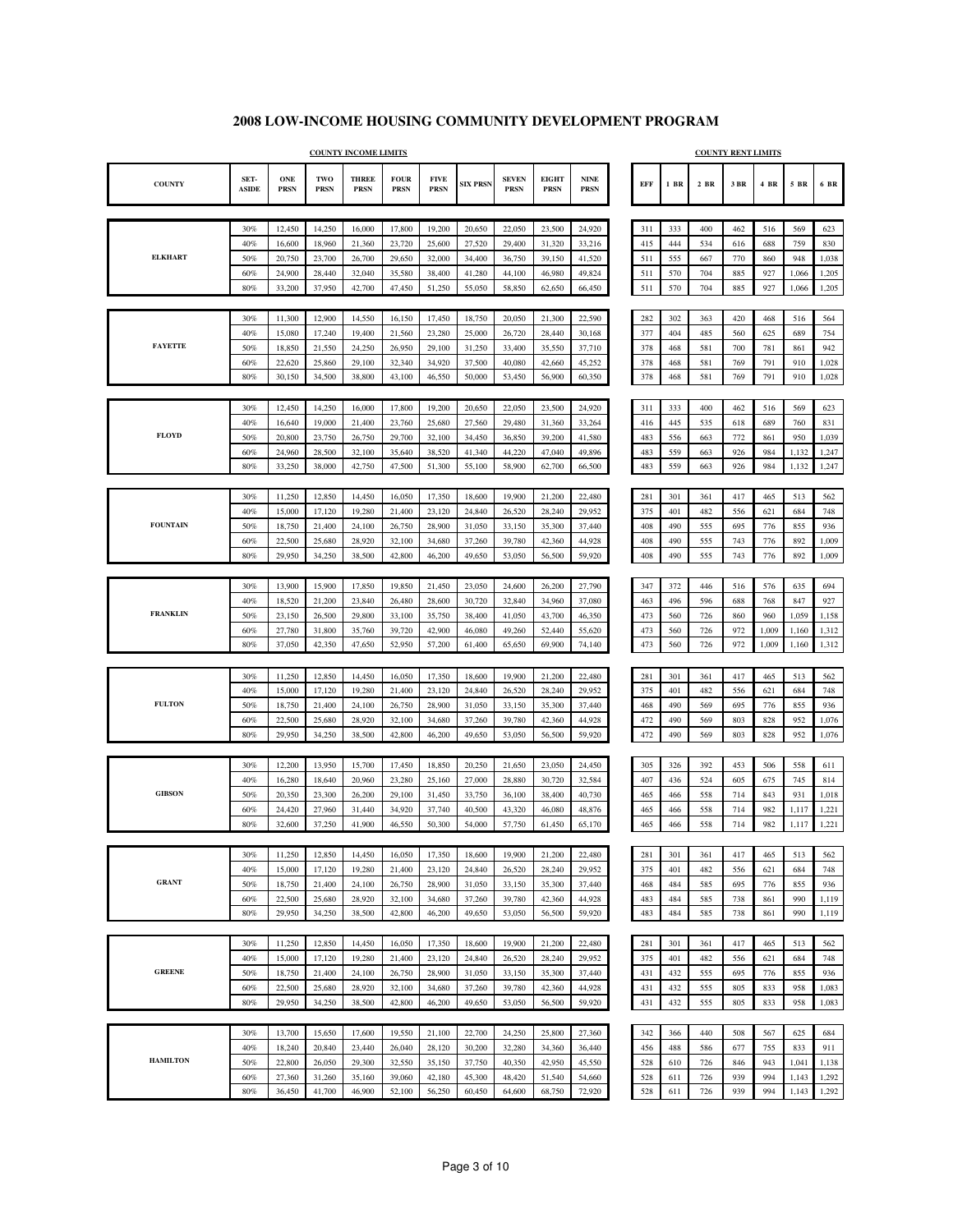|                 |                      |                    |                    | <b>COUNTY INCOME LIMITS</b> |                            |                            |                  |                             |                             |                            |            |            |            | <b>COUNTY RENT LIMITS</b> |            |                |                |
|-----------------|----------------------|--------------------|--------------------|-----------------------------|----------------------------|----------------------------|------------------|-----------------------------|-----------------------------|----------------------------|------------|------------|------------|---------------------------|------------|----------------|----------------|
| <b>COUNTY</b>   | SET-<br><b>ASIDE</b> | ONE<br><b>PRSN</b> | TWO<br><b>PRSN</b> | <b>THREE</b><br><b>PRSN</b> | <b>FOUR</b><br><b>PRSN</b> | <b>FIVE</b><br><b>PRSN</b> | <b>SIX PRSN</b>  | <b>SEVEN</b><br><b>PRSN</b> | <b>EIGHT</b><br><b>PRSN</b> | <b>NINE</b><br><b>PRSN</b> | <b>EFF</b> | $1$ BR     | $2$ BR     | 3 BR                      | 4 BR       | 5 BR           | 6 BR           |
|                 |                      |                    |                    |                             |                            |                            |                  |                             |                             |                            |            |            |            |                           |            |                |                |
|                 | 30%                  | 12,450             | 14,250             | 16,000                      | 17,800                     | 19,200                     | 20,650           | 22,050                      | 23,500                      | 24,920                     | 311        | 333        | 400        | 462                       | 516        | 569            | 623            |
| <b>ELKHART</b>  | 40%                  | 16,600             | 18,960             | 21,360                      | 23,720                     | 25,600                     | 27,520           | 29,400                      | 31,320                      | 33,216                     | 415        | 444        | 534        | 616                       | 688        | 759            | 830            |
|                 | 50%<br>60%           | 20,750<br>24,900   | 23,700<br>28,440   | 26,700<br>32,040            | 29,650<br>35,580           | 32,000<br>38,400           | 34,400<br>41,280 | 36,750<br>44,100            | 39,150<br>46,980            | 41,520<br>49,824           | 511<br>511 | 555<br>570 | 667<br>704 | 770<br>885                | 860<br>927 | 948<br>1,066   | 1,038<br>1,205 |
|                 | 80%                  | 33,200             | 37,950             | 42,700                      | 47,450                     | 51,250                     | 55,050           | 58,850                      | 62,650                      | 66,450                     | 511        | 570        | 704        | 885                       | 927        | 1,066          | 1,205          |
|                 |                      |                    |                    |                             |                            |                            |                  |                             |                             |                            |            |            |            |                           |            |                |                |
|                 | 30%                  | 11,300             | 12,900             | 14,550                      | 16,150                     | 17,450                     | 18,750           | 20,050                      | 21,300                      | 22,590                     | 282        | 302        | 363        | 420                       | 468        | 516            | 564            |
|                 | 40%                  | 15,080             | 17,240             | 19,400                      | 21,560                     | 23,280                     | 25,000           | 26,720                      | 28,440                      | 30,168                     | 377        | 404        | 485        | 560                       | 625        | 689            | 754            |
| <b>FAYETTE</b>  | 50%                  | 18,850             | 21,550             | 24,250                      | 26,950                     | 29,100                     | 31,250           | 33,400                      | 35,550                      | 37,710                     | 378        | 468        | 581        | 700                       | 781        | 861            | 942            |
|                 | 60%                  | 22,620             | 25,860             | 29,100                      | 32,340                     | 34,920                     | 37,500           | 40,080                      | 42,660                      | 45,252                     | 378        | 468        | 581        | 769                       | 791        | 910            | 1,028          |
|                 | 80%                  | 30,150             | 34,500             | 38,800                      | 43,100                     | 46,550                     | 50,000           | 53,450                      | 56,900                      | 60,350                     | 378        | 468        | 581        | 769                       | 791        | 910            | 1,028          |
|                 | 30%                  | 12,450             | 14,250             | 16,000                      | 17,800                     | 19,200                     | 20,650           | 22,050                      | 23,500                      | 24,920                     | 311        | 333        | 400        | 462                       | 516        | 569            | 623            |
|                 | 40%                  | 16,640             | 19,000             | 21,400                      | 23,760                     | 25,680                     | 27,560           | 29,480                      | 31,360                      | 33,264                     | 416        | 445        | 535        | 618                       | 689        | 760            | 831            |
| <b>FLOYD</b>    | 50%                  | 20,800             | 23,750             | 26,750                      | 29,700                     | 32,100                     | 34,450           | 36,850                      | 39,200                      | 41,580                     | 483        | 556        | 663        | 772                       | 861        | 950            | 1,039          |
|                 | 60%                  | 24,960             | 28,500             | 32,100                      | 35,640                     | 38,520                     | 41,340           | 44,220                      | 47,040                      | 49,896                     | 483        | 559        | 663        | 926                       | 984        | 1,132          | 1,247          |
|                 | 80%                  | 33,250             | 38,000             | 42,750                      | 47,500                     | 51,300                     | 55,100           | 58,900                      | 62,700                      | 66,500                     | 483        | 559        | 663        | 926                       | 984        | 1,132          | 1,247          |
|                 |                      |                    |                    |                             |                            |                            |                  |                             |                             |                            |            |            |            |                           |            |                |                |
|                 | 30%                  | 11,250             | 12,850             | 14,450                      | 16,050                     | 17,350                     | 18,600           | 19,900                      | 21,200                      | 22,480                     | 281        | 301        | 361        | 417                       | 465        | 513            | 562            |
| <b>FOUNTAIN</b> | 40%                  | 15,000             | 17,120             | 19,280                      | 21,400                     | 23,120                     | 24,840           | 26,520                      | 28,240                      | 29,952                     | 375        | 401        | 482        | 556                       | 621        | 684            | 748            |
|                 | 50%<br>60%           | 18,750<br>22,500   | 21,400<br>25,680   | 24,100<br>28,920            | 26,750<br>32,100           | 28,900<br>34,680           | 31,050<br>37,260 | 33,150<br>39,780            | 35,300<br>42,360            | 37,440<br>44,928           | 408<br>408 | 490<br>490 | 555<br>555 | 695<br>743                | 776<br>776 | 855<br>892     | 936<br>1,009   |
|                 | 80%                  | 29,950             | 34,250             | 38,500                      | 42,800                     | 46,200                     | 49,650           | 53,050                      | 56,500                      | 59,920                     | 408        | 490        | 555        | 743                       | 776        | 892            | 1,009          |
|                 |                      |                    |                    |                             |                            |                            |                  |                             |                             |                            |            |            |            |                           |            |                |                |
|                 | 30%                  | 13,900             | 15,900             | 17,850                      | 19,850                     | 21,450                     | 23,050           | 24,600                      | 26,200                      | 27,790                     | 347        | 372        | 446        | 516                       | 576        | 635            | 694            |
|                 | 40%                  | 18,520             | 21,200             | 23,840                      | 26,480                     | 28,600                     | 30,720           | 32,840                      | 34,960                      | 37,080                     | 463        | 496        | 596        | 688                       | 768        | 847            | 927            |
| <b>FRANKLIN</b> | 50%                  | 23,150             | 26,500             | 29,800                      | 33,100                     | 35,750                     | 38,400           | 41,050                      | 43,700                      | 46,350                     | 473        | 560        | 726        | 860                       | 960        | 1,059          | 1,158          |
|                 | 60%                  | 27,780             | 31,800             | 35,760                      | 39,720                     | 42,900                     | 46,080           | 49,260                      | 52,440                      | 55,620                     | 473        | 560        | 726        | 972                       | 1,009      | 1,160          | 1,312          |
|                 | 80%                  | 37,050             | 42,350             | 47,650                      | 52,950                     | 57,200                     | 61,400           | 65,650                      | 69,900                      | 74,140                     | 473        | 560        | 726        | 972                       | 1,009      | 1,160          | 1,312          |
|                 | 30%                  | 11,250             | 12,850             | 14,450                      | 16,050                     | 17,350                     | 18,600           | 19,900                      | 21,200                      | 22,480                     | 281        | 301        |            | 417                       | 465        | 513            | 562            |
|                 | 40%                  | 15,000             | 17,120             | 19,280                      | 21,400                     | 23,120                     | 24,840           | 26,520                      | 28,240                      | 29.952                     | 375        | 401        | 361<br>482 | 556                       | 621        | 684            | 748            |
| <b>FULTON</b>   | 50%                  | 18,750             | 21,400             | 24,100                      | 26,750                     | 28,900                     | 31,050           | 33,150                      | 35,300                      | 37,440                     | 468        | 490        | 569        | 695                       | 776        | 855            | 936            |
|                 | 60%                  | 22,500             | 25,680             | 28,920                      | 32,100                     | 34,680                     | 37,260           | 39,780                      | 42,360                      | 44,928                     | 472        | 490        | 569        | 803                       | 828        | 952            | 1,076          |
|                 | 80%                  | 29,950             | 34,250             | 38,500                      | 42,800                     | 46,200                     | 49,650           | 53,050                      | 56,500                      | 59,920                     | 472        | 490        | 569        | 803                       | 828        | 952            | 1,076          |
|                 |                      |                    |                    |                             |                            |                            |                  |                             |                             |                            |            |            |            |                           |            |                |                |
|                 | 30%                  | 12,200             | 13,950             | 15,700                      | 17,450                     | 18,850                     | 20,250           | 21,650                      | 23,050                      | 24,450                     | 305        | 326        | 392        | 453                       | 506        | 558            | 611            |
| <b>GIBSON</b>   | 40%                  | 16,280             | 18,640             | 20,960                      | 23,280                     | 25,160                     | 27,000           | 28,880                      | 30,720                      | 32,584                     | 407        | 436        | 524        | 605                       | 675        | 745            | 814            |
|                 | 50%<br>60%           | 20,350<br>24,420   | 23,300<br>27,960   | 26,200<br>31,440            | 29,100<br>34,920           | 31,450<br>37,740           | 33,750<br>40,500 | 36,100<br>43,320            | 38,400<br>46,080            | 40,730<br>48,876           | 465<br>465 | 466<br>466 | 558<br>558 | 714<br>714                | 843<br>982 | 931<br>1,117   | 1,018<br>1,221 |
|                 | 80%                  | 32,600             | 37,250             | 41,900                      | 46,550                     | 50,300                     | 54,000           | 57,750                      | 61,450                      | 65,170                     | 465        | 466        | 558        | 714                       | 982        | 1,117          | 1,221          |
|                 |                      |                    |                    |                             |                            |                            |                  |                             |                             |                            |            |            |            |                           |            |                |                |
|                 | 30%                  | 11,250             | 12,850             | 14,450                      | 16,050                     | 17,350                     | 18,600           | 19,900                      | 21,200                      | 22,480                     | 281        | 301        | 361        | 417                       | 465        | 513            | 562            |
|                 | 40%                  | 15,000             | 17,120             | 19,280                      | 21,400                     | 23,120                     | 24,840           | 26,520                      | 28,240                      | 29,952                     | 375        | 401        | 482        | 556                       | 621        | 684            | 748            |
| <b>GRANT</b>    | 50%                  | 18,750             | 21,400             | 24,100                      | 26,750                     | 28,900                     | 31,050           | 33,150                      | 35,300                      | 37,440                     | 468        | 484        | 585        | 695                       | 776        | 855            | 936            |
|                 | 60%                  | 22,500             | 25,680             | 28,920                      | 32,100                     | 34,680                     | 37,260           | 39,780                      | 42,360                      | 44,928                     | 483        | 484        | 585        | 738                       | 861        | 990            | 1,119          |
|                 | 80%                  | 29,950             | 34,250             | 38,500                      | 42,800                     | 46,200                     | 49,650           | 53,050                      | 56,500                      | 59,920                     | 483        | 484        | 585        | 738                       | 861        | 990            | 1,119          |
|                 |                      |                    |                    |                             | 16,050                     | 17,350                     |                  |                             |                             |                            |            |            |            |                           |            |                |                |
|                 | 30%<br>40%           | 11,250<br>15,000   | 12,850<br>17,120   | 14,450<br>19,280            | 21,400                     | 23,120                     | 18,600<br>24,840 | 19,900<br>26,520            | 21,200<br>28,240            | 22,480<br>29.952           | 281<br>375 | 301<br>401 | 361<br>482 | 417<br>556                | 465<br>621 | 513<br>684     | 562<br>748     |
| <b>GREENE</b>   | 50%                  | 18,750             | 21,400             | 24,100                      | 26,750                     | 28,900                     | 31,050           | 33,150                      | 35,300                      | 37,440                     | 431        | 432        | 555        | 695                       | 776        | 855            | 936            |
|                 | 60%                  | 22,500             | 25,680             | 28,920                      | 32,100                     | 34,680                     | 37,260           | 39,780                      | 42,360                      | 44,928                     | 431        | 432        | 555        | 805                       | 833        | 958            | 1,083          |
|                 | 80%                  | 29,950             | 34,250             | 38,500                      | 42,800                     | 46,200                     | 49,650           | 53,050                      | 56,500                      | 59,920                     | 431        | 432        | 555        | 805                       | 833        | 958            | 1,083          |
|                 |                      |                    |                    |                             |                            |                            |                  |                             |                             |                            |            |            |            |                           |            |                |                |
|                 | 30%                  | 13,700             | 15,650             | 17,600                      | 19,550                     | 21,100                     | 22,700           | 24,250                      | 25,800                      | 27,360                     | 342        | 366        | 440        | 508                       | 567        | 625            | 684            |
|                 | 40%                  | 18,240             | 20,840             | 23,440                      | 26,040                     | 28,120                     | 30,200           | 32,280                      | 34,360                      | 36,440                     | 456        | 488        | 586        | 677                       | 755        | 833            | 911            |
| <b>HAMILTON</b> | 50%                  | 22,800             | 26,050             | 29,300                      | 32,550                     | 35,150                     | 37,750           | 40,350                      | 42,950                      | 45,550                     | 528        | 610        | 726        | 846                       | 943        | 1,041          | 1,138          |
|                 | 60%<br>$80\%$        | 27,360<br>36,450   | 31,260<br>41,700   | 35,160<br>46,900            | 39,060<br>52,100           | 42,180<br>56,250           | 45,300<br>60,450 | 48,420<br>64,600            | 51,540<br>68,750            | 54,660<br>72,920           | 528<br>528 | 611<br>611 | 726<br>726 | 939<br>939                | 994<br>994 | 1,143<br>1,143 | 1,292<br>1,292 |
|                 |                      |                    |                    |                             |                            |                            |                  |                             |                             |                            |            |            |            |                           |            |                |                |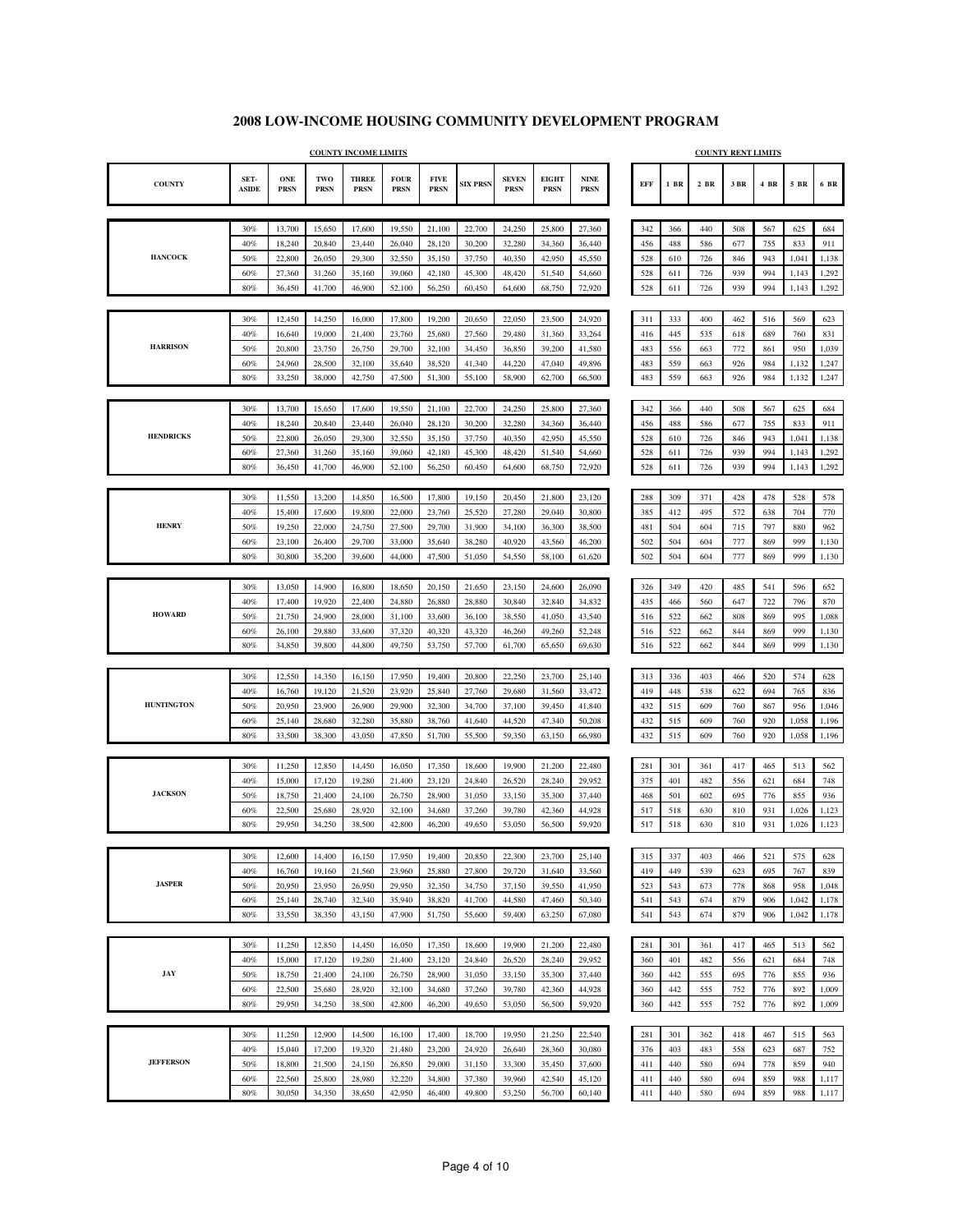|                   |                      |                           |                    | <b>COUNTY INCOME LIMITS</b> |                            |                            |                  |                             |                             |                            |            |            |            | <b>COUNTY RENT LIMITS</b> |            |            |            |
|-------------------|----------------------|---------------------------|--------------------|-----------------------------|----------------------------|----------------------------|------------------|-----------------------------|-----------------------------|----------------------------|------------|------------|------------|---------------------------|------------|------------|------------|
| <b>COUNTY</b>     | SET-<br><b>ASIDE</b> | <b>ONE</b><br><b>PRSN</b> | TWO<br><b>PRSN</b> | <b>THREE</b><br><b>PRSN</b> | <b>FOUR</b><br><b>PRSN</b> | <b>FIVE</b><br><b>PRSN</b> | <b>SIX PRSN</b>  | <b>SEVEN</b><br><b>PRSN</b> | <b>EIGHT</b><br><b>PRSN</b> | <b>NINE</b><br><b>PRSN</b> | <b>EFF</b> | $1$ BR     | $2$ BR     | $3\;\mathrm{BR}$          | 4 BR       | 5 BR       | 6 BR       |
|                   |                      |                           |                    |                             |                            |                            |                  |                             |                             |                            |            |            |            |                           |            |            |            |
|                   | 30%                  | 13,700                    | 15,650             | 17,600                      | 19,550                     | 21,100                     | 22,700           | 24,250                      | 25,800                      | 27,360                     | 342        | 366        | 440        | 508                       | 567        | 625        | 684        |
|                   | 40%                  | 18,240                    | 20,840             | 23,440                      | 26,040                     | 28,120                     | 30,200           | 32,280                      | 34,360                      | 36,440                     | 456        | 488        | 586        | 677                       | 755        | 833        | 911        |
| <b>HANCOCK</b>    | 50%                  | 22,800                    | 26,050             | 29,300                      | 32,550                     | 35,150                     | 37,750           | 40,350                      | 42,950                      | 45,550                     | 528        | 610        | 726        | 846                       | 943        | 1,041      | 1,138      |
|                   | 60%                  | 27,360                    | 31,260             | 35,160                      | 39,060                     | 42,180                     | 45,300           | 48,420                      | 51,540                      | 54,660                     | 528        | 611        | 726        | 939                       | 994        | 1,143      | 1,292      |
|                   | 80%                  | 36,450                    | 41,700             | 46,900                      | 52,100                     | 56,250                     | 60,450           | 64,600                      | 68,750                      | 72,920                     | 528        | 611        | 726        | 939                       | 994        | 1,143      | 1,292      |
|                   |                      |                           |                    |                             |                            |                            |                  |                             |                             |                            |            |            |            |                           |            |            |            |
|                   | 30%<br>40%           | 12,450<br>16,640          | 14,250<br>19,000   | 16,000<br>21,400            | 17,800<br>23,760           | 19,200<br>25,680           | 20,650<br>27,560 | 22,050<br>29,480            | 23,500<br>31,360            | 24,920<br>33,264           | 311<br>416 | 333<br>445 | 400<br>535 | 462<br>618                | 516<br>689 | 569<br>760 | 623<br>831 |
| <b>HARRISON</b>   | 50%                  | 20,800                    | 23,750             | 26,750                      | 29,700                     | 32,100                     | 34,450           | 36,850                      | 39,200                      | 41,580                     | 483        | 556        | 663        | 772                       | 861        | 950        | 1,039      |
|                   | 60%                  | 24,960                    | 28,500             | 32,100                      | 35,640                     | 38,520                     | 41,340           | 44,220                      | 47,040                      | 49,896                     | 483        | 559        | 663        | 926                       | 984        | 1,132      | 1,247      |
|                   | 80%                  | 33,250                    | 38,000             | 42,750                      | 47,500                     | 51,300                     | 55,100           | 58,900                      | 62,700                      | 66,500                     | 483        | 559        | 663        | 926                       | 984        | 1,132      | 1,247      |
|                   |                      |                           |                    |                             |                            |                            |                  |                             |                             |                            |            |            |            |                           |            |            |            |
|                   | 30%                  | 13,700                    | 15,650             | 17,600                      | 19,550                     | 21,100                     | 22,700           | 24,250                      | 25,800                      | 27,360                     | 342        | 366        | 440        | 508                       | 567        | 625        | 684        |
|                   | 40%                  | 18,240                    | 20,840             | 23,440                      | 26,040                     | 28,120                     | 30,200           | 32,280                      | 34,360                      | 36,440                     | 456        | 488        | 586        | 677                       | 755        | 833        | 911        |
| <b>HENDRICKS</b>  | 50%                  | 22,800                    | 26,050             | 29,300                      | 32,550                     | 35,150                     | 37,750           | 40,350                      | 42,950                      | 45,550                     | 528        | 610        | 726        | 846                       | 943        | 1,041      | 1,138      |
|                   | 60%                  | 27,360                    | 31,260             | 35,160                      | 39,060                     | 42,180                     | 45,300           | 48,420                      | 51,540                      | 54,660                     | 528        | 611        | 726        | 939                       | 994        | 1,143      | 1,292      |
|                   | 80%                  | 36,450                    | 41,700             | 46,900                      | 52,100                     | 56,250                     | 60,450           | 64,600                      | 68,750                      | 72,920                     | 528        | 611        | 726        | 939                       | 994        | 1,143      | 1,292      |
|                   |                      |                           |                    |                             |                            |                            |                  |                             |                             |                            |            |            |            |                           |            |            |            |
|                   | 30%<br>40%           | 11,550<br>15,400          | 13,200<br>17,600   | 14,850<br>19,800            | 16,500<br>22,000           | 17,800<br>23,760           | 19,150<br>25,520 | 20,450<br>27,280            | 21,800<br>29,040            | 23,120<br>30,800           | 288<br>385 | 309<br>412 | 371<br>495 | 428<br>572                | 478<br>638 | 528<br>704 | 578<br>770 |
| <b>HENRY</b>      | 50%                  | 19,250                    | 22,000             | 24,750                      | 27,500                     | 29,700                     | 31,900           | 34,100                      | 36,300                      | 38,500                     | 481        | 504        | 604        | 715                       | 797        | 880        | 962        |
|                   | 60%                  | 23,100                    | 26,400             | 29,700                      | 33,000                     | 35,640                     | 38,280           | 40,920                      | 43,560                      | 46,200                     | 502        | 504        | 604        | 777                       | 869        | 999        | 1,130      |
|                   | 80%                  | 30,800                    | 35,200             | 39,600                      | 44,000                     | 47,500                     | 51,050           | 54,550                      | 58,100                      | 61,620                     | 502        | 504        | 604        | 777                       | 869        | 999        | 1,130      |
|                   |                      |                           |                    |                             |                            |                            |                  |                             |                             |                            |            |            |            |                           |            |            |            |
|                   | 30%                  | 13,050                    | 14,900             | 16,800                      | 18,650                     | 20,150                     | 21,650           | 23,150                      | 24,600                      | 26,090                     | 326        | 349        | 420        | 485                       | 541        | 596        | 652        |
|                   | 40%                  | 17,400                    | 19,920             | 22,400                      | 24,880                     | 26,880                     | 28,880           | 30,840                      | 32,840                      | 34,832                     | 435        | 466        | 560        | 647                       | 722        | 796        | 870        |
| <b>HOWARD</b>     | 50%                  | 21,750                    | 24,900             | 28,000                      | 31,100                     | 33,600                     | 36,100           | 38,550                      | 41,050                      | 43,540                     | 516        | 522        | 662        | 808                       | 869        | 995        | 1,088      |
|                   | 60%                  | 26,100                    | 29,880             | 33,600                      | 37,320                     | 40,320                     | 43,320           | 46,260                      | 49,260                      | 52,248                     | 516        | 522        | 662        | 844                       | 869        | 999        | 1,130      |
|                   | 80%                  | 34,850                    | 39,800             | 44,800                      | 49,750                     | 53,750                     | 57,700           | 61,700                      | 65,650                      | 69,630                     | 516        | 522        | 662        | 844                       | 869        | 999        | 1,130      |
|                   |                      |                           |                    |                             |                            |                            |                  | 22,250                      |                             |                            |            |            |            |                           |            |            |            |
|                   | 30%<br>40%           | 12,550<br>16,760          | 14,350<br>19,120   | 16,150<br>21,520            | 17,950<br>23,920           | 19,400<br>25,840           | 20,800<br>27,760 | 29,680                      | 23,700<br>31,560            | 25,140<br>33,472           | 313<br>419 | 336<br>448 | 403<br>538 | 466<br>622                | 520<br>694 | 574<br>765 | 628<br>836 |
| <b>HUNTINGTON</b> | 50%                  | 20,950                    | 23,900             | 26,900                      | 29,900                     | 32,300                     | 34,700           | 37,100                      | 39,450                      | 41,840                     | 432        | 515        | 609        | 760                       | 867        | 956        | 1,046      |
|                   | 60%                  | 25,140                    | 28,680             | 32,280                      | 35,880                     | 38,760                     | 41,640           | 44,520                      | 47,340                      | 50,208                     | 432        | 515        | 609        | 760                       | 920        | 1,058      | 1,196      |
|                   | 80%                  | 33,500                    | 38,300             | 43,050                      | 47,850                     | 51,700                     | 55,500           | 59,350                      | 63,150                      | 66,980                     | 432        | 515        | 609        | 760                       | 920        | 1,058      | 1,196      |
|                   |                      |                           |                    |                             |                            |                            |                  |                             |                             |                            |            |            |            |                           |            |            |            |
|                   | 30%                  | 11,250                    | 12,850             | 14,450                      | 16,050                     | 17,350                     | 18,600           | 19,900                      | 21,200                      | 22,480                     | 281        | 301        | 361        | 417                       | 465        | 513        | 562        |
|                   | 40%                  | 15,000                    | 17,120             | 19,280                      | 21,400                     | 23,120                     | 24,840           | 26,520                      | 28,240                      | 29,952                     | 375        | 401        | 482        | 556                       | 621        | 684        | 748        |
| <b>JACKSON</b>    | 50%                  | 18,750                    | 21,400             | 24,100                      | 26,750                     | 28,900                     | 31,050           | 33,150                      | 35,300                      | 37,440                     | 468        | 501        | 602        | 695                       | 776        | 855        | 936        |
|                   | 60%<br>80%           | 22,500                    | 25,680             | 28,920                      | 32,100                     | 34,680                     | 37,260           | 39,780                      | 42,360                      | 44,928                     | 517        | 518        | 630        | 810                       | 931        | 1,026      | 1,123      |
|                   |                      | 29,950                    | 34,250             | 38,500                      | 42,800                     | 46,200                     | 49,650           | 53,050                      | 56,500                      | 59,920                     | 517        | 518        | 630        | 810                       | 931        | 1,026      | 1,123      |
|                   | 30%                  | 12,600                    | 14,400             | 16,150                      | 17,950                     | 19,400                     | 20,850           | 22,300                      | 23,700                      | 25,140                     | 315        | 337        | 403        | 466                       | 521        | 575        | 628        |
|                   | 40%                  | 16,760                    | 19,160             | 21,560                      | 23,960                     | 25,880                     | 27,800           | 29,720                      | 31,640                      | 33,560                     | 419        | 449        | 539        | 623                       | 695        | 767        | 839        |
| <b>JASPER</b>     | 50%                  | 20,950                    | 23,950             | 26,950                      | 29,950                     | 32,350                     | 34,750           | 37,150                      | 39,550                      | 41,950                     | 523        | 543        | 673        | 778                       | 868        | 958        | 1,048      |
|                   | 60%                  | 25,140                    | 28,740             | 32,340                      | 35,940                     | 38,820                     | 41,700           | 44,580                      | 47,460                      | 50,340                     | 541        | 543        | 674        | 879                       | 906        | 1,042      | 1,178      |
|                   | 80%                  | 33,550                    | 38,350             | 43,150                      | 47,900                     | 51,750                     | 55,600           | 59,400                      | 63,250                      | 67,080                     | 541        | 543        | 674        | 879                       | 906        | 1,042      | 1,178      |
|                   |                      |                           |                    |                             |                            |                            |                  |                             |                             |                            |            |            |            |                           |            |            |            |
|                   | 30%                  | 11,250                    | 12,850             | 14,450                      | 16,050                     | 17,350                     | 18,600           | 19,900                      | 21,200                      | 22,480                     | 281        | 301        | 361        | 417                       | 465        | 513        | 562        |
|                   | 40%                  | 15,000                    | 17,120             | 19,280                      | 21,400                     | 23,120                     | 24,840           | 26,520                      | 28,240                      | 29,952                     | 360        | 401        | 482        | 556                       | 621        | 684        | 748        |
| JAY               | 50%                  | 18,750                    | 21,400             | 24,100                      | 26,750                     | 28,900                     | 31,050           | 33,150                      | 35,300                      | 37,440                     | 360        | 442        | 555        | 695                       | 776        | 855        | 936        |
|                   | 60%                  | 22,500                    | 25,680             | 28,920                      | 32,100                     | 34,680                     | 37,260           | 39,780                      | 42,360                      | 44,928                     | 360        | 442        | 555        | 752                       | 776        | 892        | 1,009      |
|                   | $80\%$               | 29,950                    | 34,250             | 38,500                      | 42,800                     | 46,200                     | 49,650           | 53,050                      | 56,500                      | 59,920                     | 360        | 442        | 555        | 752                       | 776        | 892        | 1,009      |
|                   | 30%                  | 11,250                    | 12,900             | 14,500                      | 16,100                     | 17,400                     | 18,700           | 19,950                      | 21,250                      | 22,540                     | 281        | 301        | 362        | 418                       | 467        | 515        | 563        |
|                   | 40%                  | 15,040                    | 17,200             | 19,320                      | 21,480                     | 23,200                     | 24,920           | 26,640                      | 28,360                      | 30,080                     | 376        | 403        | 483        | 558                       | 623        | 687        | 752        |
| <b>JEFFERSON</b>  | 50%                  | 18,800                    | 21,500             | 24,150                      | 26,850                     | 29,000                     | 31,150           | 33,300                      | 35,450                      | 37,600                     | 411        | 440        | 580        | 694                       | 778        | 859        | 940        |
|                   | 60%                  | 22,560                    | 25,800             | 28,980                      | 32,220                     | 34,800                     | 37,380           | 39,960                      | 42,540                      | 45,120                     | 411        | 440        | 580        | 694                       | 859        | 988        | 1,117      |
|                   | $80\%$               | 30,050                    | 34,350             | 38,650                      | 42,950                     | 46,400                     | 49,800           | 53,250                      | 56,700                      | 60,140                     | 411        | 440        | 580        | 694                       | 859        | 988        | 1,117      |
|                   |                      |                           |                    |                             |                            |                            |                  |                             |                             |                            |            |            |            |                           |            |            |            |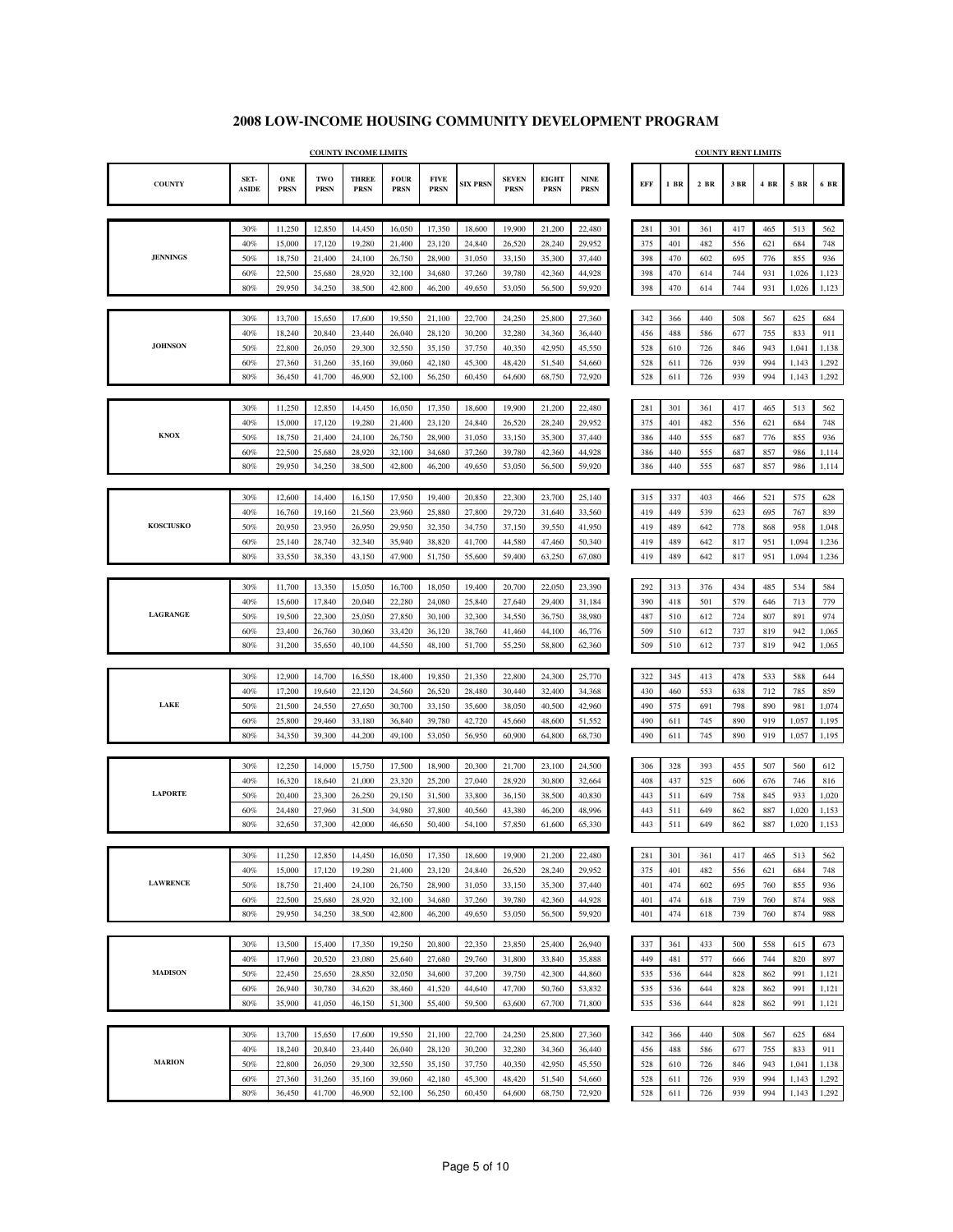٦

|                  |                      |                    |                    | <b>COUNTY INCOME LIMITS</b> |                            |                            |                  |                             |                             |                            |            |            |            | <b>COUNTY RENT LIMITS</b> |            |                |                |
|------------------|----------------------|--------------------|--------------------|-----------------------------|----------------------------|----------------------------|------------------|-----------------------------|-----------------------------|----------------------------|------------|------------|------------|---------------------------|------------|----------------|----------------|
| <b>COUNTY</b>    | SET-<br><b>ASIDE</b> | ONE<br><b>PRSN</b> | TWO<br><b>PRSN</b> | <b>THREE</b><br><b>PRSN</b> | <b>FOUR</b><br><b>PRSN</b> | <b>FIVE</b><br><b>PRSN</b> | <b>SIX PRSN</b>  | <b>SEVEN</b><br><b>PRSN</b> | <b>EIGHT</b><br><b>PRSN</b> | <b>NINE</b><br><b>PRSN</b> | EFF        | $1$ BR     | $2$ BR     | 3 BR                      | 4 BR       | 5 BR           | 6 BR           |
|                  |                      |                    |                    |                             |                            |                            |                  |                             |                             |                            |            |            |            |                           |            |                |                |
|                  | 30%                  | 11,250             | 12,850             | 14,450                      | 16,050                     | 17,350                     | 18,600           | 19,900                      | 21,200                      | 22,480                     | 281        | 301        | 361        | 417                       | 465        | 513            | 562            |
|                  | 40%                  | 15,000             | 17,120             | 19,280                      | 21,400                     | 23,120                     | 24,840           | 26,520                      | 28,240                      | 29,952                     | 375        | 401        | 482        | 556                       | 621        | 684            | 748            |
| <b>JENNINGS</b>  | 50%                  | 18,750             | 21,400             | 24,100                      | 26,750                     | 28,900                     | 31,050           | 33,150                      | 35,300                      | 37,440                     | 398        | 470        | 602        | 695                       | 776        | 855            | 936            |
|                  | 60%                  | 22,500             | 25,680             | 28,920                      | 32,100                     | 34,680                     | 37,260           | 39,780                      | 42,360                      | 44,928                     | 398        | 470        | 614        | 744                       | 931        | 1,026          | 1,123          |
|                  | 80%                  | 29,950             | 34,250             | 38,500                      | 42,800                     | 46,200                     | 49,650           | 53,050                      | 56,500                      | 59,920                     | 398        | 470        | 614        | 744                       | 931        | 1,026          | 1,123          |
|                  | 30%                  | 13,700             | 15,650             | 17,600                      | 19,550                     | 21,100                     | 22,700           | 24,250                      | 25,800                      | 27,360                     | 342        |            | 440        | 508                       | 567        | 625            | 684            |
|                  | 40%                  | 18,240             | 20,840             | 23,440                      | 26,040                     | 28,120                     | 30,200           | 32,280                      | 34,360                      | 36,440                     | 456        | 366<br>488 | 586        | 677                       | 755        | 833            | 911            |
| <b>JOHNSON</b>   | 50%                  | 22,800             | 26,050             | 29,300                      | 32,550                     | 35,150                     | 37,750           | 40,350                      | 42,950                      | 45,550                     | 528        | 610        | 726        | 846                       | 943        | 1,041          | 1,138          |
|                  | 60%                  | 27,360             | 31,260             | 35,160                      | 39,060                     | 42,180                     | 45,300           | 48,420                      | 51,540                      | 54,660                     | 528        | 611        | 726        | 939                       | 994        | 1,143          | 1,292          |
|                  | 80%                  | 36,450             | 41,700             | 46,900                      | 52,100                     | 56,250                     | 60,450           | 64,600                      | 68,750                      | 72,920                     | 528        | 611        | 726        | 939                       | 994        | 1,143          | 1,292          |
|                  |                      |                    |                    |                             |                            |                            |                  |                             |                             |                            |            |            |            |                           |            |                |                |
|                  | 30%                  | 11,250             | 12,850             | 14,450                      | 16,050                     | 17,350                     | 18,600           | 19,900                      | 21,200                      | 22,480                     | 281        | 301        | 361        | 417                       | 465        | 513            | 562            |
|                  | 40%                  | 15,000             | 17,120             | 19,280                      | 21,400                     | 23,120                     | 24,840           | 26,520                      | 28,240                      | 29.952                     | 375        | 401        | 482        | 556                       | 621        | 684            | 748            |
| <b>KNOX</b>      | 50%                  | 18,750             | 21,400             | 24,100                      | 26,750                     | 28,900                     | 31,050           | 33,150                      | 35,300                      | 37,440                     | 386        | 440        | 555        | 687                       | 776        | 855            | 936            |
|                  | 60%                  | 22,500             | 25,680             | 28,920                      | 32,100                     | 34,680                     | 37,260           | 39,780                      | 42,360                      | 44,928                     | 386        | 440        | 555        | 687                       | 857        | 986            | 1,114          |
|                  | 80%                  | 29,950             | 34,250             | 38,500                      | 42,800                     | 46,200                     | 49,650           | 53,050                      | 56,500                      | 59,920                     | 386        | 440        | 555        | 687                       | 857        | 986            | 1,114          |
|                  |                      |                    |                    |                             |                            |                            |                  |                             |                             |                            |            |            |            |                           |            |                |                |
|                  | 30%                  | 12,600             | 14,400             | 16,150                      | 17,950                     | 19,400                     | 20,850           | 22,300                      | 23,700                      | 25,140                     | 315        | 337        | 403        | 466                       | 521        | 575            | 628            |
| <b>KOSCIUSKO</b> | 40%<br>50%           | 16,760<br>20,950   | 19,160<br>23,950   | 21,560<br>26,950            | 23,960<br>29,950           | 25,880                     | 27,800           | 29,720<br>37,150            | 31,640<br>39,550            | 33,560<br>41,950           | 419<br>419 | 449<br>489 | 539<br>642 | 623<br>778                | 695<br>868 | 767<br>958     | 839<br>1,048   |
|                  | 60%                  | 25,140             | 28,740             | 32,340                      | 35,940                     | 32,350<br>38,820           | 34,750<br>41,700 | 44,580                      | 47,460                      | 50,340                     | 419        | 489        | 642        | 817                       | 951        | 1,094          | 1,236          |
|                  | 80%                  | 33,550             | 38,350             | 43,150                      | 47,900                     | 51,750                     | 55,600           | 59,400                      | 63,250                      | 67,080                     | 419        | 489        | 642        | 817                       | 951        | 1,094          | 1,236          |
|                  |                      |                    |                    |                             |                            |                            |                  |                             |                             |                            |            |            |            |                           |            |                |                |
|                  | 30%                  | 11,700             | 13,350             | 15,050                      | 16,700                     | 18,050                     | 19,400           | 20,700                      | 22,050                      | 23,390                     | 292        | 313        | 376        | 434                       | 485        | 534            | 584            |
|                  | 40%                  | 15,600             | 17,840             | 20,040                      | 22,280                     | 24,080                     | 25,840           | 27,640                      | 29,400                      | 31,184                     | 390        | 418        | 501        | 579                       | 646        | 713            | 779            |
| LAGRANGE         | 50%                  | 19,500             | 22,300             | 25,050                      | 27,850                     | 30,100                     | 32,300           | 34,550                      | 36,750                      | 38,980                     | 487        | 510        | 612        | 724                       | 807        | 891            | 974            |
|                  | 60%                  | 23,400             | 26,760             | 30,060                      | 33,420                     | 36,120                     | 38,760           | 41,460                      | 44,100                      | 46,776                     | 509        | 510        | 612        | 737                       | 819        | 942            | 1,065          |
|                  | 80%                  | 31,200             | 35,650             | 40,100                      | 44,550                     | 48,100                     | 51,700           | 55,250                      | 58,800                      | 62,360                     | 509        | 510        | 612        | 737                       | 819        | 942            | 1,065          |
|                  |                      |                    |                    |                             |                            |                            |                  |                             |                             |                            |            |            |            |                           |            |                |                |
|                  | 30%                  | 12,900             | 14,700             | 16,550                      | 18,400                     | 19,850                     | 21,350           | 22,800                      | 24,300                      | 25,770                     | 322        | 345        | 413        | 478                       | 533        | 588            | 644            |
| LAKE             | 40%                  | 17,200             | 19,640             | 22,120                      | 24,560                     | 26,520                     | 28,480           | 30,440                      | 32,400                      | 34,368                     | 430        | 460        | 553        | 638                       | 712        | 785            | 859            |
|                  | 50%                  | 21,500             | 24,550             | 27,650                      | 30,700                     | 33,150                     | 35,600           | 38,050                      | 40,500                      | 42,960                     | 490<br>490 | 575        | 691        | 798                       | 890        | 981            | 1,074          |
|                  | 60%<br>80%           | 25,800<br>34,350   | 29,460<br>39,300   | 33,180<br>44,200            | 36,840<br>49,100           | 39,780<br>53,050           | 42,720<br>56,950 | 45,660<br>60,900            | 48,600<br>64,800            | 51,552<br>68,730           | 490        | 611<br>611 | 745<br>745 | 890<br>890                | 919<br>919 | 1,057<br>1,057 | 1,195<br>1,195 |
|                  |                      |                    |                    |                             |                            |                            |                  |                             |                             |                            |            |            |            |                           |            |                |                |
|                  | 30%                  | 12,250             | 14,000             | 15,750                      | 17,500                     | 18,900                     | 20,300           | 21,700                      | 23,100                      | 24,500                     | 306        | 328        | 393        | 455                       | 507        | 560            | 612            |
|                  | 40%                  | 16,320             | 18,640             | 21,000                      | 23,320                     | 25,200                     | 27,040           | 28,920                      | 30,800                      | 32,664                     | 408        | 437        | 525        | 606                       | 676        | 746            | 816            |
| <b>LAPORTE</b>   | 50%                  | 20,400             | 23,300             | 26,250                      | 29,150                     | 31,500                     | 33,800           | 36,150                      | 38,500                      | 40,830                     | 443        | 511        | 649        | 758                       | 845        | 933            | 1,020          |
|                  | 60%                  | 24,480             | 27,960             | 31,500                      | 34,980                     | 37,800                     | 40,560           | 43,380                      | 46,200                      | 48,996                     | 443        | 511        | 649        | 862                       | 887        | 1,020          | 1,153          |
|                  | 80%                  | 32,650             | 37,300             | 42,000                      | 46,650                     | 50,400                     | 54,100           | 57,850                      | 61,600                      | 65,330                     | 443        | 511        | 649        | 862                       | 887        | 1,020          | 1,153          |
|                  |                      |                    |                    |                             |                            |                            |                  |                             |                             |                            |            |            |            |                           |            |                |                |
|                  | 30%                  | 11,250             | 12,850             | 14,450                      | 16,050                     | 17,350                     | 18,600           | 19,900                      | 21,200                      | 22,480                     | 281        | 301        | 361        | 417                       | 465        | 513            | 562            |
|                  | 40%                  | 15,000             | 17,120             | 19,280                      | 21,400                     | 23,120                     | 24,840           | 26,520                      | 28,240                      | 29.952                     | 375        | 401        | 482        | 556                       | 621        | 684            | 748            |
| <b>LAWRENCE</b>  | 50%                  | 18,750             | 21,400             | 24,100                      | 26,750                     | 28,900                     | 31,050           | 33,150                      | 35,300                      | 37,440                     | 401        | 474        | 602        | 695                       | 760        | 855            | 936            |
|                  | $60\%$<br>80%        | 22,500<br>29,950   | 25,680<br>34,250   | 28,920<br>38,500            | 32,100<br>42,800           | 34,680<br>46,200           | 37,260<br>49,650 | 39,780<br>53,050            | 42,360<br>56,500            | 44,928<br>59,920           | 401<br>401 | 474<br>474 | 618<br>618 | 739<br>739                | 760<br>760 | 874<br>874     | 988<br>988     |
|                  |                      |                    |                    |                             |                            |                            |                  |                             |                             |                            |            |            |            |                           |            |                |                |
|                  | $30\%$               | 13,500             | 15,400             | 17,350                      | 19,250                     | 20,800                     | 22,350           | 23,850                      | 25,400                      | 26,940                     | 337        | 361        | 433        | 500                       | 558        | 615            | 673            |
|                  | 40%                  | 17,960             | 20,520             | 23,080                      | 25,640                     | 27,680                     | 29,760           | 31,800                      | 33,840                      | 35,888                     | 449        | 481        | 577        | 666                       | 744        | 820            | 897            |
| <b>MADISON</b>   | 50%                  | 22,450             | 25,650             | 28,850                      | 32,050                     | 34,600                     | 37,200           | 39,750                      | 42,300                      | 44,860                     | 535        | 536        | 644        | 828                       | 862        | 991            | 1,121          |
|                  | 60%                  | 26,940             | 30,780             | 34,620                      | 38,460                     | 41,520                     | 44,640           | 47,700                      | 50,760                      | 53,832                     | 535        | 536        | 644        | 828                       | 862        | 991            | 1,121          |
|                  | 80%                  | 35,900             | 41,050             | 46,150                      | 51,300                     | 55,400                     | 59,500           | 63,600                      | 67,700                      | 71,800                     | 535        | 536        | 644        | 828                       | 862        | 991            | 1,121          |
|                  |                      |                    |                    |                             |                            |                            |                  |                             |                             |                            |            |            |            |                           |            |                |                |
|                  | 30%                  | 13,700             | 15,650             | 17,600                      | 19,550                     | 21,100                     | 22,700           | 24,250                      | 25,800                      | 27,360                     | 342        | 366        | 440        | 508                       | 567        | 625            | 684            |
|                  | 40%                  | 18,240             | 20,840             | 23,440                      | 26,040                     | 28,120                     | 30,200           | 32,280                      | 34,360                      | 36,440                     | 456        | 488        | 586        | 677                       | 755        | 833            | 911            |
| <b>MARION</b>    | 50%                  | 22,800             | 26,050             | 29,300                      | 32,550                     | 35,150                     | 37,750           | 40,350                      | 42,950                      | 45,550                     | 528        | 610        | 726        | 846                       | 943        | 1,041          | 1,138          |
|                  | $60\%$               | 27,360             | 31,260             | 35,160                      | 39,060                     | 42,180                     | 45,300           | 48,420                      | 51,540                      | 54,660                     | 528        | 611        | 726        | 939                       | 994        | 1,143          | 1,292          |
|                  | 80%                  | 36,450             | 41,700             | 46,900                      | 52,100                     | 56,250                     | 60,450           | 64,600                      | 68,750                      | 72,920                     | 528        | 611        | 726        | 939                       | 994        | 1,143          | 1,292          |
|                  |                      |                    |                    |                             |                            |                            |                  |                             |                             |                            |            |            |            |                           |            |                |                |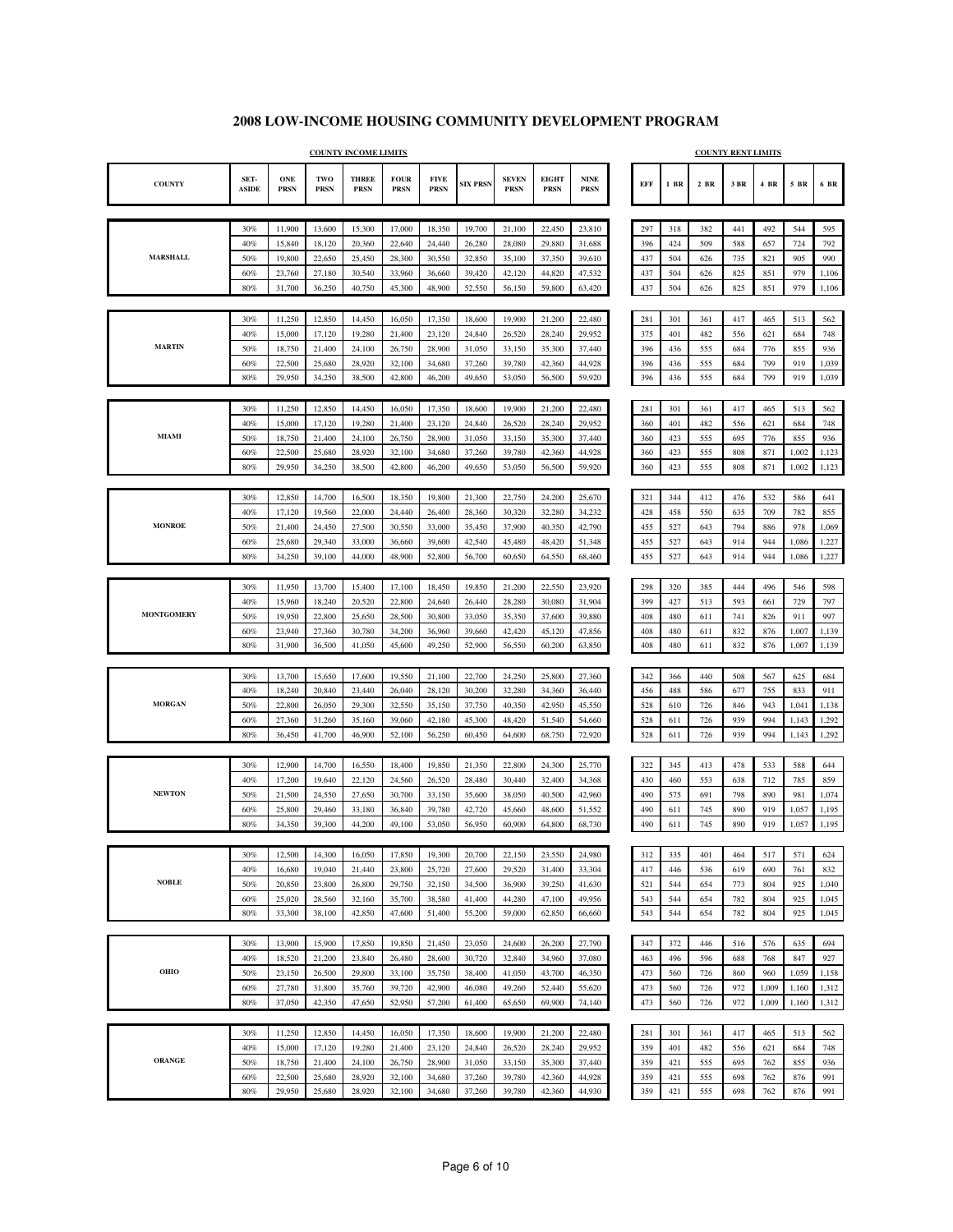|                   |                      |                           |                    | <b>COUNTY INCOME LIMITS</b> |                            |                            |                  |                             |                             |                                             |            |            |            | <b>COUNTY RENT LIMITS</b> |            |            |            |
|-------------------|----------------------|---------------------------|--------------------|-----------------------------|----------------------------|----------------------------|------------------|-----------------------------|-----------------------------|---------------------------------------------|------------|------------|------------|---------------------------|------------|------------|------------|
| <b>COUNTY</b>     | SET-<br><b>ASIDE</b> | <b>ONE</b><br><b>PRSN</b> | TWO<br><b>PRSN</b> | <b>THREE</b><br><b>PRSN</b> | <b>FOUR</b><br><b>PRSN</b> | <b>FIVE</b><br><b>PRSN</b> | <b>SIX PRSN</b>  | <b>SEVEN</b><br><b>PRSN</b> | <b>EIGHT</b><br><b>PRSN</b> | $\ensuremath{\mathbf{NINE}}$<br><b>PRSN</b> | EFF        | 1 BR       | $2$ BR     | 3 BR                      | 4 BR       | 5 BR       | 6 BR       |
|                   |                      |                           |                    |                             |                            |                            |                  |                             |                             |                                             |            |            |            |                           |            |            |            |
|                   | 30%                  | 11,900                    | 13,600             | 15,300                      | 17,000                     | 18,350                     | 19,700           | 21,100                      | 22,450                      | 23,810                                      | 297        | 318        | 382        | 441                       | 492        | 544        | 595        |
|                   | 40%                  | 15,840                    | 18,120             | 20,360                      | 22,640                     | 24,440                     | 26,280           | 28,080                      | 29,880                      | 31,688                                      | 396        | 424        | 509        | 588                       | 657        | 724        | 792        |
| <b>MARSHALL</b>   | 50%                  | 19,800                    | 22,650             | 25,450                      | 28,300                     | 30,550                     | 32,850           | 35,100                      | 37,350                      | 39,610                                      | 437        | 504        | 626        | 735                       | 821        | 905        | 990        |
|                   | 60%                  | 23,760                    | 27,180             | 30,540                      | 33,960                     | 36,660                     | 39,420           | 42,120                      | 44,820                      | 47,532                                      | 437        | 504        | 626        | 825                       | 851        | 979        | 1,106      |
|                   | 80%                  | 31,700                    | 36,250             | 40,750                      | 45,300                     | 48,900                     | 52,550           | 56,150                      | 59,800                      | 63,420                                      | 437        | 504        | 626        | 825                       | 851        | 979        | 1,106      |
|                   |                      |                           |                    |                             |                            |                            |                  |                             |                             |                                             |            |            |            |                           |            |            |            |
|                   | 30%<br>40%           | 11,250                    | 12,850             | 14,450<br>19,280            | 16,050                     | 17,350                     | 18,600           | 19,900                      | 21,200                      | 22,480<br>29,952                            | 281<br>375 | 301<br>401 | 361<br>482 | 417                       | 465        | 513<br>684 | 562        |
| <b>MARTIN</b>     | 50%                  | 15,000<br>18,750          | 17,120<br>21,400   | 24,100                      | 21,400<br>26,750           | 23,120<br>28,900           | 24,840<br>31,050 | 26,520<br>33,150            | 28,240<br>35,300            | 37,440                                      | 396        | 436        | 555        | 556<br>684                | 621<br>776 | 855        | 748<br>936 |
|                   | 60%                  | 22,500                    | 25,680             | 28,920                      | 32,100                     | 34,680                     | 37,260           | 39,780                      | 42,360                      | 44,928                                      | 396        | 436        | 555        | 684                       | 799        | 919        | 1,039      |
|                   | 80%                  | 29,950                    | 34,250             | 38,500                      | 42,800                     | 46,200                     | 49,650           | 53,050                      | 56,500                      | 59,920                                      | 396        | 436        | 555        | 684                       | 799        | 919        | 1,039      |
|                   |                      |                           |                    |                             |                            |                            |                  |                             |                             |                                             |            |            |            |                           |            |            |            |
|                   | 30%                  | 11,250                    | 12,850             | 14,450                      | 16,050                     | 17,350                     | 18,600           | 19,900                      | 21,200                      | 22,480                                      | 281        | 301        | 361        | 417                       | 465        | 513        | 562        |
|                   | 40%                  | 15,000                    | 17,120             | 19,280                      | 21,400                     | 23,120                     | 24,840           | 26,520                      | 28,240                      | 29,952                                      | 360        | 401        | 482        | 556                       | 621        | 684        | 748        |
| MIAMI             | 50%                  | 18,750                    | 21,400             | 24,100                      | 26,750                     | 28,900                     | 31,050           | 33,150                      | 35,300                      | 37,440                                      | 360        | 423        | 555        | 695                       | 776        | 855        | 936        |
|                   | 60%                  | 22,500                    | 25,680             | 28,920                      | 32,100                     | 34,680                     | 37,260           | 39,780                      | 42,360                      | 44,928                                      | 360        | 423        | 555        | 808                       | 871        | 1,002      | 1,123      |
|                   | 80%                  | 29,950                    | 34,250             | 38,500                      | 42,800                     | 46,200                     | 49,650           | 53,050                      | 56,500                      | 59,920                                      | 360        | 423        | 555        | 808                       | 871        | 1,002      | 1,123      |
|                   |                      |                           |                    |                             |                            |                            |                  |                             |                             |                                             |            |            |            |                           |            |            |            |
|                   | 30%                  | 12,850                    | 14,700             | 16,500                      | 18,350                     | 19,800                     | 21,300           | 22,750                      | 24,200                      | 25,670                                      | 321        | 344        | 412        | 476                       | 532        | 586        | 641        |
|                   | 40%                  | 17,120                    | 19,560             | 22,000                      | 24,440                     | 26,400                     | 28,360           | 30,320                      | 32,280                      | 34,232                                      | 428        | 458        | 550        | 635                       | 709        | 782        | 855        |
| <b>MONROE</b>     | 50%                  | 21,400                    | 24,450             | 27,500                      | 30,550                     | 33,000                     | 35,450           | 37,900                      | 40,350                      | 42,790                                      | 455        | 527        | 643        | 794                       | 886        | 978        | 1,069      |
|                   | 60%                  | 25,680                    | 29,340             | 33,000                      | 36,660                     | 39,600                     | 42,540           | 45,480                      | 48,420                      | 51,348                                      | 455        | 527        | 643        | 914                       | 944        | 1,086      | 1,227      |
|                   | 80%                  | 34,250                    | 39,100             | 44,000                      | 48,900                     | 52,800                     | 56,700           | 60,650                      | 64,550                      | 68,460                                      | 455        | 527        | 643        | 914                       | 944        | 1,086      | 1,227      |
|                   |                      |                           |                    |                             |                            |                            |                  |                             |                             |                                             |            |            |            |                           |            |            |            |
|                   | 30%                  | 11,950                    | 13,700             | 15,400                      | 17,100                     | 18,450                     | 19,850           | 21,200                      | 22,550                      | 23,920                                      | 298        | 320        | 385        | 444                       | 496        | 546        | 598        |
|                   | 40%                  | 15,960                    | 18,240             | 20,520                      | 22,800                     | 24,640                     | 26,440           | 28,280                      | 30,080                      | 31,904                                      | 399        | 427        | 513        | 593                       | 661        | 729        | 797        |
| <b>MONTGOMERY</b> | 50%                  | 19,950                    | 22,800             | 25,650                      | 28,500                     | 30,800                     | 33,050           | 35,350                      | 37,600                      | 39,880                                      | 408        | 480        | 611        | 741                       | 826        | 911        | 997        |
|                   | 60%                  | 23,940                    | 27,360             | 30,780                      | 34,200                     | 36,960                     | 39,660           | 42,420                      | 45,120                      | 47,856                                      | 408        | 480        | 611        | 832                       | 876        | 1,007      | 1,139      |
|                   | 80%                  | 31,900                    | 36,500             | 41,050                      | 45,600                     | 49,250                     | 52,900           | 56,550                      | 60,200                      | 63,850                                      | 408        | 480        | 611        | 832                       | 876        | 1,007      | 1,139      |
|                   |                      |                           |                    |                             |                            |                            |                  |                             |                             |                                             |            |            |            |                           |            |            |            |
|                   | 30%                  | 13,700                    | 15,650             | 17,600                      | 19,550                     | 21,100                     | 22,700           | 24,250                      | 25,800                      | 27,360                                      | 342        | 366        | 440        | 508                       | 567        | 625        | 684        |
|                   | 40%                  | 18,240                    | 20,840             | 23,440                      | 26,040                     | 28,120                     | 30,200           | 32,280                      | 34,360                      | 36,440                                      | 456        | 488        | 586        | 677                       | 755        | 833        | 911        |
| <b>MORGAN</b>     | 50%                  | 22,800                    | 26,050             | 29,300                      | 32,550                     | 35,150                     | 37,750           | 40,350                      | 42,950                      | 45,550                                      | 528        | 610        | 726        | 846                       | 943        | 1,041      | 1,138      |
|                   | 60%                  | 27,360                    | 31,260             | 35,160                      | 39,060                     | 42,180                     | 45,300           | 48,420                      | 51,540                      | 54,660                                      | 528        | 611        | 726        | 939                       | 994        | 1,143      | 1,292      |
|                   | 80%                  | 36,450                    | 41,700             | 46,900                      | 52,100                     | 56,250                     | 60,450           | 64,600                      | 68,750                      | 72,920                                      | 528        | 611        | 726        | 939                       | 994        | 1,143      | 1,292      |
|                   | 30%                  | 12,900                    | 14,700             | 16,550                      | 18,400                     | 19,850                     | 21,350           | 22,800                      | 24,300                      | 25,770                                      | 322        | 345        | 413        | 478                       | 533        | 588        | 644        |
|                   | 40%                  | 17,200                    | 19,640             | 22,120                      | 24,560                     | 26,520                     | 28,480           | 30,440                      | 32,400                      | 34,368                                      | 430        | 460        | 553        | 638                       | 712        | 785        | 859        |
| <b>NEWTON</b>     | 50%                  | 21,500                    | 24,550             | 27,650                      | 30,700                     | 33,150                     | 35,600           | 38,050                      | 40,500                      | 42,960                                      | 490        | 575        | 691        | 798                       | 890        | 981        | 1,074      |
|                   | 60%                  | 25,800                    | 29,460             | 33,180                      | 36,840                     | 39,780                     | 42,720           | 45,660                      | 48,600                      | 51,552                                      | 490        | 611        | 745        | 890                       | 919        | 1,057      | 1,195      |
|                   | 80%                  | 34,350                    | 39,300             | 44,200                      | 49,100                     | 53,050                     | 56,950           | 60,900                      | 64,800                      | 68,730                                      | 490        | 611        | 745        | 890                       | 919        | 1,057      | 1,195      |
|                   |                      |                           |                    |                             |                            |                            |                  |                             |                             |                                             |            |            |            |                           |            |            |            |
|                   | 30%                  | 12,500                    | 14,300             | 16,050                      | 17,850                     | 19,300                     | 20,700           | 22,150                      | 23,550                      | 24,980                                      | 312        | 335        | 401        | 464                       | 517        | 571        | 624        |
|                   | 40%                  | 16,680                    | 19,040             | 21,440                      | 23,800                     | 25,720                     | 27,600           | 29,520                      | 31,400                      | 33,304                                      | 417        | 446        | 536        | 619                       | 690        | 761        | 832        |
| <b>NOBLE</b>      | 50%                  | 20,850                    | 23,800             | 26,800                      | 29,750                     | 32,150                     | 34,500           | 36,900                      | 39,250                      | 41,630                                      | 521        | 544        | 654        | 773                       | 804        | 925        | 1,040      |
|                   | 60%                  | 25,020                    | 28,560             | 32,160                      | 35,700                     | 38,580                     | 41,400           | 44,280                      | 47,100                      | 49,956                                      | 543        | 544        | 654        | 782                       | 804        | 925        | 1,045      |
|                   | 80%                  | 33,300                    | 38,100             | 42,850                      | 47,600                     | 51,400                     | 55,200           | 59,000                      | 62,850                      | 66,660                                      | 543        | 544        | 654        | 782                       | 804        | 925        | 1,045      |
|                   |                      |                           |                    |                             |                            |                            |                  |                             |                             |                                             |            |            |            |                           |            |            |            |
|                   | 30%                  | 13,900                    | 15,900             | 17,850                      | 19,850                     | 21,450                     | 23,050           | 24,600                      | 26,200                      | 27,790                                      | 347        | 372        | 446        | 516                       | 576        | 635        | 694        |
|                   | 40%                  | 18,520                    | 21,200             | 23,840                      | 26,480                     | 28,600                     | 30,720           | 32,840                      | 34,960                      | 37,080                                      | 463        | 496        | 596        | 688                       | 768        | 847        | 927        |
| ОНЮ               | 50%                  | 23,150                    | 26,500             | 29,800                      | 33,100                     | 35,750                     | 38,400           | 41,050                      | 43,700                      | 46,350                                      | 473        | 560        | 726        | 860                       | 960        | 1,059      | 1,158      |
|                   | 60%                  | 27,780                    | 31,800             | 35,760                      | 39,720                     | 42,900                     | 46,080           | 49,260                      | 52,440                      | 55,620                                      | 473        | 560        | 726        | 972                       | 1,009      | 1,160      | 1,312      |
|                   | 80%                  | 37,050                    | 42,350             | 47,650                      | 52,950                     | 57,200                     | 61,400           | 65,650                      | 69,900                      | 74,140                                      | 473        | 560        | 726        | 972                       | 1,009      | 1,160      | 1,312      |
|                   |                      |                           |                    |                             |                            |                            |                  |                             |                             |                                             |            |            |            |                           |            |            |            |
|                   | 30%                  | 11,250                    | 12,850             | 14,450                      | 16,050                     | 17,350                     | 18,600           | 19,900                      | 21,200                      | 22,480                                      | 281        | 301        | 361        | 417                       | 465        | 513        | 562        |
|                   | 40%                  | 15,000                    | 17,120             | 19,280                      | 21,400                     | 23,120                     | 24,840           | 26,520                      | 28,240                      | 29,952                                      | 359        | 401        | 482        | 556                       | 621        | 684        | 748        |
| <b>ORANGE</b>     | 50%                  | 18,750                    | 21,400             | 24,100                      | 26,750                     | 28,900                     | 31,050           | 33,150                      | 35,300                      | 37,440                                      | 359        | 421        | 555        | 695                       | 762        | 855        | 936        |
|                   | 60%                  | 22,500                    | 25,680             | 28,920                      | 32,100                     | 34,680                     | 37,260           | 39,780                      | 42,360                      | 44,928                                      | 359        | 421        | 555        | 698                       | 762        | 876        | 991        |
|                   | 80%                  | 29,950                    | 25,680             | 28,920                      | 32,100                     | 34,680                     | 37,260           | 39,780                      | 42,360                      | 44,930                                      | 359        | 421        | 555        | 698                       | 762        | 876        | 991        |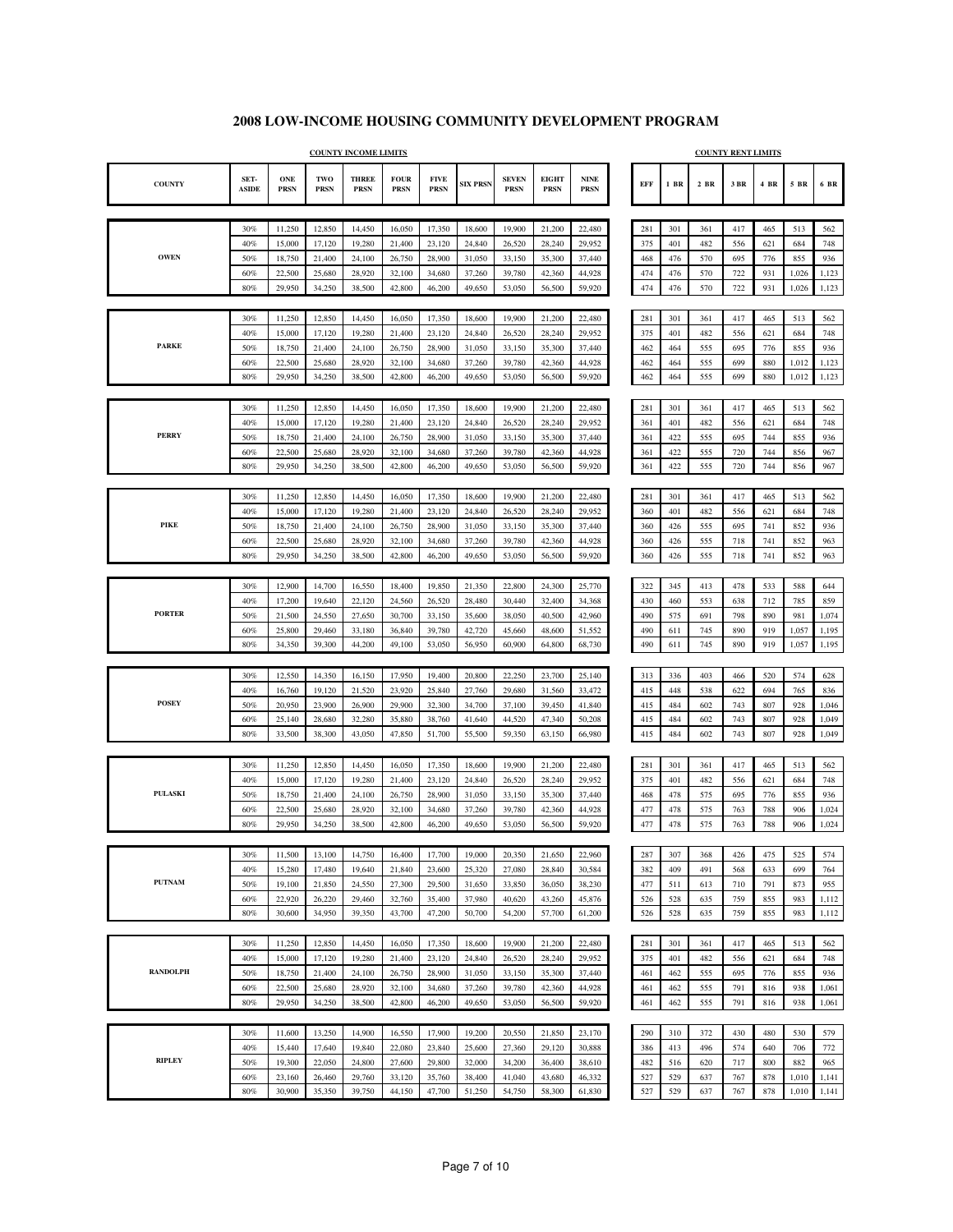|                 |                      |                           |                    | <b>COUNTY INCOME LIMITS</b> |                            |                            |                  |                             |                             |                     |            |            |            | <b>COUNTY RENT LIMITS</b> |            |                |                |
|-----------------|----------------------|---------------------------|--------------------|-----------------------------|----------------------------|----------------------------|------------------|-----------------------------|-----------------------------|---------------------|------------|------------|------------|---------------------------|------------|----------------|----------------|
| <b>COUNTY</b>   | SET-<br><b>ASIDE</b> | <b>ONE</b><br><b>PRSN</b> | TWO<br><b>PRSN</b> | <b>THREE</b><br><b>PRSN</b> | <b>FOUR</b><br><b>PRSN</b> | <b>FIVE</b><br><b>PRSN</b> | <b>SIX PRSN</b>  | <b>SEVEN</b><br><b>PRSN</b> | <b>EIGHT</b><br><b>PRSN</b> | <b>NINE</b><br>PRSN | EFF        | $1$ BR     | $2$ BR     | 3 BR                      | 4 BR       | 5 BR           | 6 BR           |
|                 |                      |                           |                    |                             |                            |                            |                  |                             |                             |                     |            |            |            |                           |            |                |                |
|                 | 30%                  | 11,250                    | 12,850             | 14,450                      | 16,050                     | 17,350                     | 18,600           | 19,900                      | 21,200                      | 22,480              | 281        | 301        | 361        | 417                       | 465        | 513            | 562            |
| <b>OWEN</b>     | 40%                  | 15,000                    | 17,120             | 19,280                      | 21,400                     | 23,120                     | 24,840           | 26,520                      | 28,240                      | 29,952              | 375        | 401        | 482        | 556                       | 621        | 684            | 748            |
|                 | 50%                  | 18,750                    | 21,400             | 24,100                      | 26,750                     | 28,900                     | 31,050           | 33,150                      | 35,300                      | 37,440              | 468        | 476        | 570        | 695                       | 776        | 855            | 936            |
|                 | 60%<br>80%           | 22,500<br>29,950          | 25,680<br>34,250   | 28,920<br>38,500            | 32,100<br>42,800           | 34,680<br>46,200           | 37,260<br>49,650 | 39,780<br>53,050            | 42,360<br>56,500            | 44,928<br>59,920    | 474<br>474 | 476<br>476 | 570<br>570 | 722<br>722                | 931<br>931 | 1,026<br>1,026 | 1,123<br>1,123 |
|                 |                      |                           |                    |                             |                            |                            |                  |                             |                             |                     |            |            |            |                           |            |                |                |
|                 | 30%                  | 11,250                    | 12,850             | 14,450                      | 16,050                     | 17,350                     | 18,600           | 19,900                      | 21,200                      | 22,480              | 281        | 301        | 361        | 417                       | 465        | 513            | 562            |
|                 | 40%                  | 15,000                    | 17,120             | 19,280                      | 21,400                     | 23,120                     | 24,840           | 26,520                      | 28,240                      | 29,952              | 375        | 401        | 482        | 556                       | 621        | 684            | 748            |
| <b>PARKE</b>    | 50%                  | 18,750                    | 21,400             | 24,100                      | 26,750                     | 28,900                     | 31,050           | 33,150                      | 35,300                      | 37,440              | 462        | 464        | 555        | 695                       | 776        | 855            | 936            |
|                 | 60%                  | 22,500                    | 25,680             | 28,920                      | 32,100                     | 34,680                     | 37,260           | 39,780                      | 42,360                      | 44,928              | 462        | 464        | 555        | 699                       | 880        | 1,012          | 1,123          |
|                 | 80%                  | 29,950                    | 34,250             | 38,500                      | 42,800                     | 46,200                     | 49,650           | 53,050                      | 56,500                      | 59,920              | 462        | 464        | 555        | 699                       | 880        | 1,012          | 1,123          |
|                 |                      |                           |                    |                             |                            |                            |                  |                             |                             |                     |            |            |            |                           |            |                |                |
|                 | 30%                  | 11,250                    | 12,850             | 14,450                      | 16,050                     | 17,350                     | 18,600           | 19,900                      | 21,200                      | 22,480              | 281        | 301        | 361        | 417                       | 465        | 513            | 562            |
| <b>PERRY</b>    | 40%                  | 15,000                    | 17,120             | 19,280                      | 21,400                     | 23,120                     | 24,840           | 26,520                      | 28,240                      | 29,952              | 361        | 401        | 482        | 556                       | 621        | 684            | 748            |
|                 | 50%<br>60%           | 18,750<br>22,500          | 21,400<br>25,680   | 24,100<br>28,920            | 26,750<br>32,100           | 28,900<br>34,680           | 31,050<br>37,260 | 33,150<br>39,780            | 35,300<br>42,360            | 37,440<br>44,928    | 361<br>361 | 422<br>422 | 555<br>555 | 695<br>720                | 744<br>744 | 855<br>856     | 936<br>967     |
|                 | $80\%$               | 29,950                    | 34,250             | 38,500                      | 42,800                     | 46,200                     | 49,650           | 53,050                      | 56,500                      | 59,920              | 361        | 422        | 555        | 720                       | 744        | 856            | 967            |
|                 |                      |                           |                    |                             |                            |                            |                  |                             |                             |                     |            |            |            |                           |            |                |                |
|                 | 30%                  | 11,250                    | 12,850             | 14,450                      | 16,050                     | 17,350                     | 18,600           | 19,900                      | 21,200                      | 22,480              | 281        | 301        | 361        | 417                       | 465        | 513            | 562            |
|                 | 40%                  | 15,000                    | 17,120             | 19,280                      | 21,400                     | 23,120                     | 24,840           | 26,520                      | 28,240                      | 29.952              | 360        | 401        | 482        | 556                       | 621        | 684            | 748            |
| <b>PIKE</b>     | 50%                  | 18,750                    | 21,400             | 24,100                      | 26,750                     | 28,900                     | 31,050           | 33,150                      | 35,300                      | 37,440              | 360        | 426        | 555        | 695                       | 741        | 852            | 936            |
|                 | 60%                  | 22,500                    | 25,680             | 28,920                      | 32,100                     | 34,680                     | 37,260           | 39,780                      | 42,360                      | 44,928              | 360        | 426        | 555        | 718                       | 741        | 852            | 963            |
|                 | 80%                  | 29,950                    | 34,250             | 38,500                      | 42,800                     | 46,200                     | 49,650           | 53,050                      | 56,500                      | 59,920              | 360        | 426        | 555        | 718                       | 741        | 852            | 963            |
|                 |                      |                           |                    |                             |                            |                            |                  |                             |                             |                     |            |            |            |                           |            |                |                |
|                 | 30%                  | 12,900                    | 14,700             | 16,550                      | 18,400                     | 19,850                     | 21,350           | 22,800                      | 24,300                      | 25,770              | 322        | 345        | 413        | 478                       | 533        | 588            | 644            |
|                 | 40%                  | 17,200                    | 19,640             | 22,120                      | 24,560                     | 26,520                     | 28,480           | 30,440                      | 32,400                      | 34,368              | 430        | 460        | 553        | 638                       | 712        | 785            | 859            |
| <b>PORTER</b>   | 50%                  | 21,500                    | 24,550             | 27,650                      | 30,700                     | 33,150                     | 35,600           | 38,050                      | 40,500                      | 42,960              | 490        | 575        | 691        | 798                       | 890        | 981            | 1,074          |
|                 | 60%                  | 25,800                    | 29,460             | 33,180                      | 36,840                     | 39,780                     | 42,720           | 45,660                      | 48,600                      | 51,552              | 490        | 611        | 745        | 890                       | 919        | 1,057          | 1,195          |
|                 | 80%                  | 34,350                    | 39,300             | 44,200                      | 49,100                     | 53,050                     | 56,950           | 60,900                      | 64,800                      | 68,730              | 490        | 611        | 745        | 890                       | 919        | 1,057          | 1,195          |
|                 |                      |                           |                    |                             |                            |                            |                  |                             |                             |                     |            |            |            |                           |            |                |                |
|                 | 30%<br>40%           | 12,550                    | 14,350             | 16,150                      | 17,950                     | 19,400                     | 20,800           | 22,250<br>29,680            | 23,700                      | 25,140              | 313<br>415 | 336<br>448 | 403<br>538 | 466<br>622                | 520<br>694 | 574<br>765     | 628            |
| <b>POSEY</b>    | 50%                  | 16,760<br>20,950          | 19,120<br>23,900   | 21,520<br>26,900            | 23,920<br>29,900           | 25,840<br>32,300           | 27,760<br>34,700 | 37,100                      | 31,560<br>39,450            | 33,472<br>41,840    | 415        | 484        | 602        | 743                       | 807        | 928            | 836<br>1,046   |
|                 | 60%                  | 25,140                    | 28,680             | 32,280                      | 35,880                     | 38,760                     | 41,640           | 44,520                      | 47,340                      | 50,208              | 415        | 484        | 602        | 743                       | 807        | 928            | 1,049          |
|                 | 80%                  | 33,500                    | 38,300             | 43,050                      | 47,850                     | 51,700                     | 55,500           | 59,350                      | 63,150                      | 66,980              | 415        | 484        | 602        | 743                       | 807        | 928            | 1,049          |
|                 |                      |                           |                    |                             |                            |                            |                  |                             |                             |                     |            |            |            |                           |            |                |                |
|                 | 30%                  | 11,250                    | 12,850             | 14,450                      | 16,050                     | 17,350                     | 18,600           | 19,900                      | 21,200                      | 22,480              | 281        | 301        | 361        | 417                       | 465        | 513            | 562            |
|                 | 40%                  | 15,000                    | 17,120             | 19,280                      | 21,400                     | 23,120                     | 24,840           | 26,520                      | 28,240                      | 29.952              | 375        | 401        | 482        | 556                       | 621        | 684            | 748            |
| <b>PULASKI</b>  | 50%                  | 18,750                    | 21,400             | 24,100                      | 26,750                     | 28,900                     | 31,050           | 33,150                      | 35,300                      | 37,440              | 468        | 478        | 575        | 695                       | 776        | 855            | 936            |
|                 | 60%                  | 22,500                    | 25,680             | 28,920                      | 32,100                     | 34,680                     | 37,260           | 39,780                      | 42,360                      | 44,928              | 477        | 478        | 575        | 763                       | 788        | 906            | 1,024          |
|                 | 80%                  | 29,950                    | 34,250             | 38,500                      | 42,800                     | 46,200                     | 49,650           | 53,050                      | 56,500                      | 59,920              | 477        | 478        | 575        | 763                       | 788        | 906            | 1,024          |
|                 |                      |                           |                    |                             |                            |                            |                  |                             |                             |                     |            |            |            |                           |            |                |                |
|                 | 30%                  | 11,500                    | 13,100             | 14,750                      | 16,400                     | 17,700                     | 19,000           | 20,350                      | 21,650                      | 22,960              | 287        | 307        | 368        | 426                       | 475        | 525            | 574            |
|                 | 40%                  | 15,280                    | 17,480             | 19,640                      | 21,840                     | 23,600                     | 25,320           | 27,080                      | 28,840                      | 30,584              | 382        | 409        | 491        | 568                       | 633        | 699            | 764            |
| <b>PUTNAM</b>   | 50%                  | 19,100                    | 21,850             | 24,550                      | 27,300                     | 29,500                     | 31,650           | 33,850                      | 36,050                      | 38,230              | 477        | 511        | 613        | 710                       | 791        | 873            | 955            |
|                 | 60%                  | 22,920                    | 26,220             | 29,460                      | 32,760                     | 35,400                     | 37,980           | 40,620                      | 43,260                      | 45,876              | 526        | 528        | 635        | 759                       | 855        | 983            | 1,112          |
|                 | 80%                  | 30,600                    | 34,950             | 39,350                      | 43,700                     | 47,200                     | 50,700           | 54,200                      | 57,700                      | 61,200              | 526        | 528        | 635        | 759                       | 855        | 983            | 1,112          |
|                 | 30%                  | 11,250                    | 12,850             | 14,450                      | 16,050                     | 17,350                     | 18,600           | 19,900                      | 21,200                      | 22,480              | 281        | 301        | 361        | 417                       | 465        | 513            | 562            |
|                 | 40%                  | 15,000                    | 17,120             | 19,280                      | 21,400                     | 23,120                     | 24,840           | 26,520                      | 28,240                      | 29,952              | 375        | 401        | 482        | 556                       | 621        | 684            | 748            |
| <b>RANDOLPH</b> | 50%                  | 18,750                    | 21,400             | 24,100                      | 26,750                     | 28,900                     | 31,050           | 33,150                      | 35,300                      | 37,440              | 461        | 462        | 555        | 695                       | 776        | 855            | 936            |
|                 | 60%                  | 22,500                    | 25,680             | 28,920                      | 32,100                     | 34,680                     | 37,260           | 39,780                      | 42,360                      | 44,928              | 461        | 462        | 555        | 791                       | 816        | 938            | 1,061          |
|                 | 80%                  | 29,950                    | 34,250             | 38,500                      | 42,800                     | 46,200                     | 49,650           | 53,050                      | 56,500                      | 59,920              | 461        | 462        | 555        | 791                       | 816        | 938            | 1,061          |
|                 |                      |                           |                    |                             |                            |                            |                  |                             |                             |                     |            |            |            |                           |            |                |                |
|                 | 30%                  | 11,600                    | 13,250             | 14,900                      | 16,550                     | 17,900                     | 19,200           | 20,550                      | 21,850                      | 23,170              | 290        | 310        | 372        | 430                       | 480        | 530            | 579            |
|                 | 40%                  | 15,440                    | 17,640             | 19,840                      | 22,080                     | 23,840                     | 25,600           | 27,360                      | 29,120                      | 30,888              | 386        | 413        | 496        | 574                       | 640        | 706            | 772            |
| <b>RIPLEY</b>   | 50%                  | 19,300                    | 22,050             | 24,800                      | 27,600                     | 29,800                     | 32,000           | 34,200                      | 36,400                      | 38,610              | 482        | 516        | 620        | 717                       | 800        | 882            | 965            |
|                 | 60%                  | 23,160                    | 26,460             | 29,760                      | 33,120                     | 35,760                     | 38,400           | 41,040                      | 43,680                      | 46,332              | 527        | 529        | 637        | 767                       | 878        | 1,010          | 1,141          |
|                 | 80%                  | 30,900                    | 35,350             | 39,750                      | 44,150                     | 47,700                     | 51,250           | 54,750                      | 58,300                      | 61,830              | 527        | 529        | 637        | 767                       | 878        | 1,010          | 1,141          |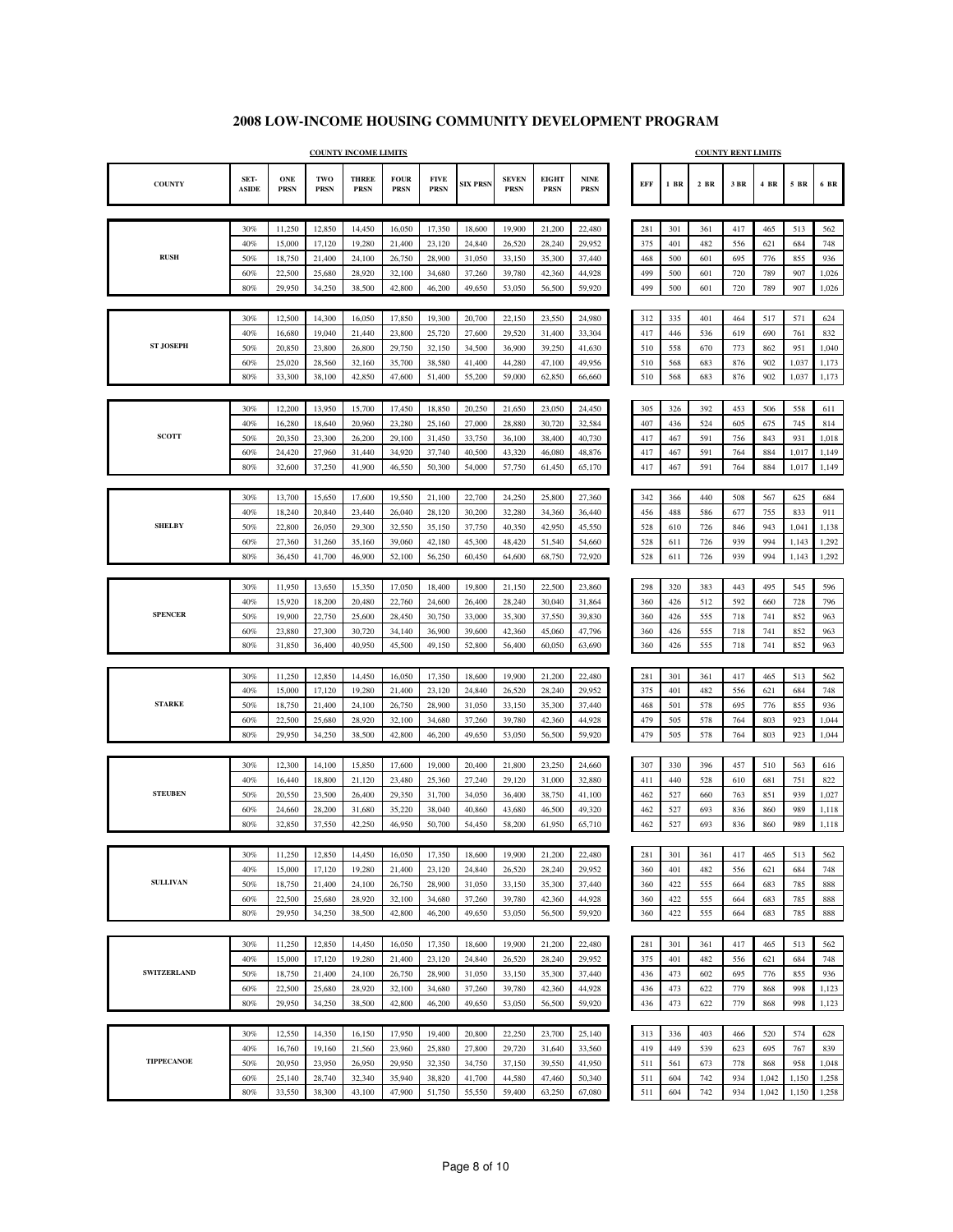٦

|                    |                      |                    |                    | <b>COUNTY INCOME LIMITS</b> |                            |                            |                  |                             |                             |                            |            |            |            | <b>COUNTY RENT LIMITS</b> |            |            |                |
|--------------------|----------------------|--------------------|--------------------|-----------------------------|----------------------------|----------------------------|------------------|-----------------------------|-----------------------------|----------------------------|------------|------------|------------|---------------------------|------------|------------|----------------|
| <b>COUNTY</b>      | SET-<br><b>ASIDE</b> | ONE<br><b>PRSN</b> | TWO<br><b>PRSN</b> | <b>THREE</b><br><b>PRSN</b> | <b>FOUR</b><br><b>PRSN</b> | <b>FIVE</b><br><b>PRSN</b> | <b>SIX PRSN</b>  | <b>SEVEN</b><br><b>PRSN</b> | <b>EIGHT</b><br><b>PRSN</b> | <b>NINE</b><br><b>PRSN</b> | EFF        | $1$ BR     | 2 BR       | 3 BR                      | $4$ BR     | $5\,$ BR   | 6 BR           |
|                    |                      |                    |                    |                             |                            |                            |                  |                             |                             |                            |            |            |            |                           |            |            |                |
|                    | 30%                  | 11,250             | 12,850             | 14,450                      | 16,050                     | 17,350                     | 18,600           | 19,900                      | 21,200                      | 22,480                     | 281        | 301        | 361        | 417                       | 465        | 513        | 562            |
|                    | 40%                  | 15,000             | 17,120             | 19,280                      | 21,400                     | 23,120                     | 24,840           | 26,520                      | 28,240                      | 29.952                     | 375        | 401        | 482        | 556                       | 621        | 684        | 748            |
| <b>RUSH</b>        | 50%                  | 18,750             | 21,400             | 24,100                      | 26,750                     | 28,900                     | 31,050           | 33,150                      | 35,300                      | 37,440                     | 468        | 500        | 601        | 695                       | 776        | 855        | 936            |
|                    | 60%                  | 22,500             | 25,680             | 28,920                      | 32,100                     | 34,680                     | 37,260           | 39,780                      | 42,360                      | 44,928                     | 499        | 500        | 601        | 720                       | 789        | 907        | 1,026          |
|                    | 80%                  | 29,950             | 34,250             | 38,500                      | 42,800                     | 46,200                     | 49,650           | 53,050                      | 56,500                      | 59,920                     | 499        | 500        | 601        | 720                       | 789        | 907        | 1,026          |
|                    | 30%                  | 12,500             | 14,300             | 16,050                      | 17,850                     | 19,300                     | 20,700           | 22,150                      | 23,550                      | 24,980                     | 312        | 335        | 401        | 464                       | 517        | 571        | 624            |
|                    | 40%                  | 16,680             | 19,040             | 21,440                      | 23,800                     | 25,720                     | 27,600           | 29,520                      | 31,400                      | 33,304                     | 417        | 446        | 536        | 619                       | 690        | 761        | 832            |
| <b>ST JOSEPH</b>   | 50%                  | 20,850             | 23,800             | 26,800                      | 29,750                     | 32,150                     | 34,500           | 36,900                      | 39,250                      | 41,630                     | 510        | 558        | 670        | 773                       | 862        | 951        | 1,040          |
|                    | 60%                  | 25,020             | 28,560             | 32,160                      | 35,700                     | 38,580                     | 41,400           | 44,280                      | 47,100                      | 49,956                     | 510        | 568        | 683        | 876                       | 902        | 1,037      | 1,173          |
|                    | 80%                  | 33,300             | 38,100             | 42,850                      | 47,600                     | 51,400                     | 55,200           | 59,000                      | 62,850                      | 66,660                     | 510        | 568        | 683        | 876                       | 902        | 1,037      | 1,173          |
|                    |                      |                    |                    |                             |                            |                            |                  |                             |                             |                            |            |            |            |                           |            |            |                |
|                    | 30%                  | 12,200             | 13,950             | 15,700                      | 17,450                     | 18,850                     | 20,250           | 21,650                      | 23,050                      | 24,450                     | 305        | 326        | 392        | 453                       | 506        | 558        | 611            |
|                    | 40%                  | 16,280             | 18,640             | 20,960                      | 23,280                     | 25,160                     | 27,000           | 28,880                      | 30,720                      | 32,584                     | 407        | 436        | 524        | 605                       | 675        | 745        | 814            |
| <b>SCOTT</b>       | 50%                  | 20,350             | 23,300             | 26,200                      | 29,100                     | 31,450                     | 33,750           | 36,100                      | 38,400                      | 40,730                     | 417        | 467        | 591        | 756                       | 843        | 931        | 1,018          |
|                    | 60%                  | 24,420             | 27,960             | 31,440                      | 34,920                     | 37,740                     | 40,500           | 43,320                      | 46,080                      | 48,876                     | 417        | 467        | 591        | 764                       | 884        | 1,017      | 1,149          |
|                    | 80%                  | 32,600             | 37,250             | 41,900                      | 46,550                     | 50,300                     | 54,000           | 57,750                      | 61,450                      | 65,170                     | 417        | 467        | 591        | 764                       | 884        | 1,017      | 1,149          |
|                    |                      |                    |                    |                             |                            |                            |                  |                             |                             |                            |            |            |            |                           |            |            |                |
|                    | 30%<br>40%           | 13,700<br>18,240   | 15,650<br>20,840   | 17,600<br>23,440            | 19,550<br>26,040           | 21,100<br>28,120           | 22,700<br>30,200 | 24,250<br>32,280            | 25,800<br>34,360            | 27,360<br>36,440           | 342<br>456 | 366<br>488 | 440<br>586 | 508<br>677                | 567<br>755 | 625<br>833 | 684<br>911     |
| <b>SHELBY</b>      | 50%                  | 22,800             | 26,050             | 29,300                      | 32,550                     | 35,150                     | 37,750           | 40,350                      | 42,950                      | 45,550                     | 528        | 610        | 726        | 846                       | 943        | 1,041      | 1,138          |
|                    | 60%                  | 27,360             | 31,260             | 35,160                      | 39,060                     | 42,180                     | 45,300           | 48,420                      | 51,540                      | 54,660                     | 528        | 611        | 726        | 939                       | 994        | 1,143      | 1,292          |
|                    | 80%                  | 36,450             | 41,700             | 46,900                      | 52,100                     | 56,250                     | 60,450           | 64,600                      | 68,750                      | 72,920                     | 528        | 611        | 726        | 939                       | 994        | 1,143      | 1,292          |
|                    |                      |                    |                    |                             |                            |                            |                  |                             |                             |                            |            |            |            |                           |            |            |                |
|                    | 30%                  | 11,950             | 13,650             | 15,350                      | 17,050                     | 18,400                     | 19,800           | 21,150                      | 22,500                      | 23,860                     | 298        | 320        | 383        | 443                       | 495        | 545        | 596            |
|                    | 40%                  | 15,920             | 18,200             | 20,480                      | 22,760                     | 24,600                     | 26,400           | 28,240                      | 30,040                      | 31,864                     | 360        | 426        | 512        | 592                       | 660        | 728        | 796            |
| <b>SPENCER</b>     | 50%                  | 19,900             | 22,750             | 25,600                      | 28,450                     | 30,750                     | 33,000           | 35,300                      | 37,550                      | 39,830                     | 360        | 426        | 555        | 718                       | 741        | 852        | 963            |
|                    | 60%                  | 23,880             | 27,300             | 30,720                      | 34,140                     | 36,900                     | 39,600           | 42,360                      | 45,060                      | 47,796                     | 360        | 426        | 555        | 718                       | 741        | 852        | 963            |
|                    | 80%                  | 31,850             | 36,400             | 40,950                      | 45,500                     | 49,150                     | 52,800           | 56,400                      | 60,050                      | 63,690                     | 360        | 426        | 555        | 718                       | 741        | 852        | 963            |
|                    | 30%                  | 11,250             | 12,850             | 14,450                      | 16,050                     | 17,350                     | 18,600           | 19,900                      | 21,200                      | 22,480                     | 281        | 301        | 361        | 417                       | 465        | 513        | 562            |
|                    | 40%                  | 15,000             | 17,120             | 19,280                      | 21,400                     | 23,120                     | 24,840           | 26,520                      | 28,240                      | 29,952                     | 375        | 401        | 482        | 556                       | 621        | 684        | 748            |
| <b>STARKE</b>      | 50%                  | 18,750             | 21,400             | 24,100                      | 26,750                     | 28,900                     | 31,050           | 33,150                      | 35,300                      | 37,440                     | 468        | 501        | 578        | 695                       | 776        | 855        | 936            |
|                    | 60%                  | 22,500             | 25,680             | 28,920                      | 32,100                     | 34,680                     | 37,260           | 39,780                      | 42,360                      | 44,928                     | 479        | 505        | 578        | 764                       | 803        | 923        | 1,044          |
|                    | 80%                  | 29,950             | 34,250             | 38,500                      | 42,800                     | 46,200                     | 49,650           | 53,050                      | 56,500                      | 59,920                     | 479        | 505        | 578        | 764                       | 803        | 923        | 1,044          |
|                    |                      |                    |                    |                             |                            |                            |                  |                             |                             |                            |            |            |            |                           |            |            |                |
|                    | 30%                  | 12,300             | 14,100             | 15,850                      | 17,600                     | 19,000                     | 20,400           | 21,800                      | 23,250                      | 24,660                     | 307        | 330        | 396        | 457                       | 510        | 563        | 616            |
| <b>STEUBEN</b>     | 40%                  | 16,440             | 18,800             | 21,120                      | 23,480                     | 25,360                     | 27,240           | 29,120                      | 31,000                      | 32,880                     | 411        | 440        | 528        | 610                       | 681        | 751        | 822            |
|                    | 50%<br>60%           | 20,550<br>24,660   | 23,500<br>28,200   | 26,400<br>31,680            | 29,350<br>35,220           | 31,700<br>38,040           | 34,050<br>40,860 | 36,400<br>43,680            | 38,750<br>46,500            | 41,100<br>49,320           | 462<br>462 | 527<br>527 | 660<br>693 | 763<br>836                | 851<br>860 | 939<br>989 | 1,027<br>1,118 |
|                    | 80%                  | 32,850             | 37,550             | 42,250                      | 46,950                     | 50,700                     | 54,450           | 58,200                      | 61,950                      | 65,710                     | 462        | 527        | 693        | 836                       | 860        | 989        | 1,118          |
|                    |                      |                    |                    |                             |                            |                            |                  |                             |                             |                            |            |            |            |                           |            |            |                |
|                    | 30%                  | 11,250             | 12,850             | 14,450                      | 16,050                     | 17,350                     | 18,600           | 19,900                      | 21,200                      | 22,480                     | 281        | 301        | 361        | 417                       | 465        | 513        | 562            |
|                    | 40%                  | 15,000             | 17,120             | 19,280                      | 21,400                     | 23,120                     | 24,840           | 26,520                      | 28,240                      | 29,952                     | 360        | 401        | 482        | 556                       | 621        | 684        | 748            |
| <b>SULLIVAN</b>    | 50%                  | 18,750             | 21,400             | 24,100                      | 26,750                     | 28,900                     | 31,050           | 33,150                      | 35,300                      | 37,440                     | 360        | 422        | 555        | 664                       | 683        | 785        | 888            |
|                    | 60%                  | 22,500             | 25,680             | 28,920                      | 32,100                     | 34,680                     | 37,260           | 39,780                      | 42,360                      | 44,928                     | 360        | 422        | 555        | 664                       | 683        | 785        | 888            |
|                    | 80%                  | 29,950             | 34,250             | 38,500                      | 42,800                     | 46,200                     | 49,650           | 53,050                      | 56,500                      | 59,920                     | 360        | 422        | 555        | 664                       | 683        | 785        | 888            |
|                    |                      |                    |                    |                             |                            |                            |                  |                             |                             |                            |            |            |            |                           |            |            |                |
|                    | 30%                  | 11,250             | 12,850             | 14,450                      | 16,050                     | 17,350                     | 18,600           | 19,900                      | 21,200                      | 22,480                     | 281        | 301        | 361        | 417                       | 465        | 513        | 562            |
| <b>SWITZERLAND</b> | 40%                  | 15,000             | 17,120             | 19,280                      | 21,400                     | 23,120                     | 24,840           | 26,520                      | 28,240                      | 29,952                     | 375        | 401        | 482        | 556                       | 621        | 684        | 748            |
|                    | 50%<br>60%           | 18,750<br>22,500   | 21,400<br>25,680   | 24,100<br>28,920            | 26,750<br>32,100           | 28,900<br>34,680           | 31,050<br>37,260 | 33,150<br>39,780            | 35,300<br>42,360            | 37,440<br>44,928           | 436<br>436 | 473<br>473 | 602<br>622 | 695<br>779                | 776<br>868 | 855<br>998 | 936<br>1,123   |
|                    | 80%                  | 29,950             | 34,250             | 38,500                      | 42,800                     | 46,200                     | 49,650           | 53,050                      | 56,500                      | 59,920                     | 436        | 473        | 622        | 779                       | 868        | 998        | 1,123          |
|                    |                      |                    |                    |                             |                            |                            |                  |                             |                             |                            |            |            |            |                           |            |            |                |
|                    | 30%                  | 12,550             | 14,350             | 16,150                      | 17,950                     | 19,400                     | 20,800           | 22,250                      | 23,700                      | 25,140                     | 313        | 336        | 403        | 466                       | 520        | 574        | 628            |
|                    | 40%                  | 16,760             | 19,160             | 21,560                      | 23,960                     | 25,880                     | 27,800           | 29,720                      | 31,640                      | 33,560                     | 419        | 449        | 539        | 623                       | 695        | 767        | 839            |
| <b>TIPPECANOE</b>  | 50%                  | 20,950             | 23,950             | 26,950                      | 29,950                     | 32,350                     | 34,750           | 37,150                      | 39,550                      | 41,950                     | 511        | 561        | 673        | 778                       | 868        | 958        | 1,048          |
|                    | 60%                  | 25,140             | 28,740             | 32,340                      | 35,940                     | 38,820                     | 41,700           | 44,580                      | 47,460                      | 50,340                     | 511        | 604        | 742        | 934                       | 1,042      | 1,150      | 1,258          |
|                    | 80%                  | 33,550             | 38,300             | 43,100                      | 47,900                     | 51,750                     | 55,550           | 59,400                      | 63,250                      | 67,080                     | 511        | 604        | 742        | 934                       | 1,042      | 1,150      | 1,258          |
|                    |                      |                    |                    |                             |                            |                            |                  |                             |                             |                            |            |            |            |                           |            |            |                |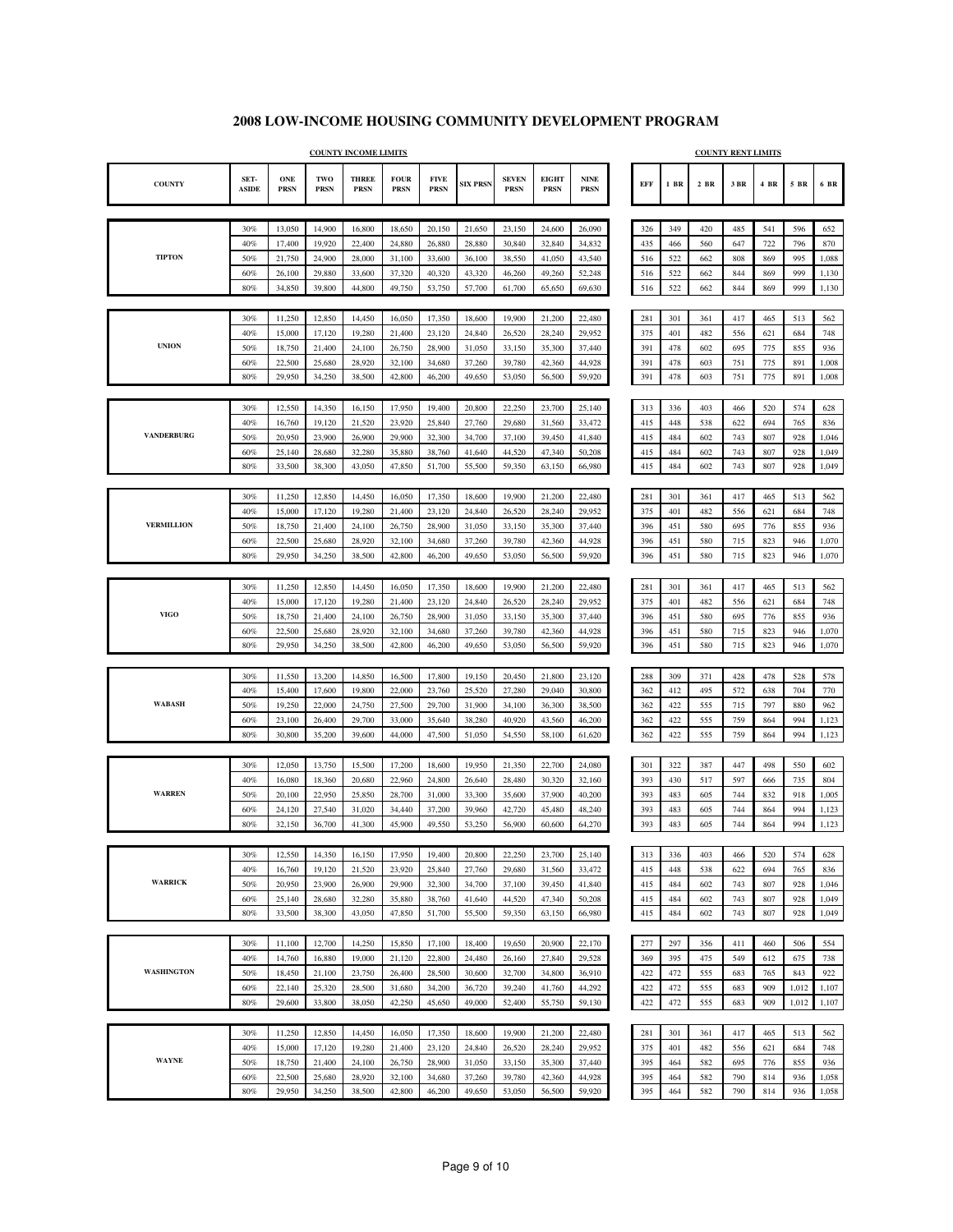|                   |                      |                           |                    | <b>COUNTY INCOME LIMITS</b> |                            |                            |                 |                             |                             |                                             |            |            |            | <b>COUNTY RENT LIMITS</b> |      |            |       |
|-------------------|----------------------|---------------------------|--------------------|-----------------------------|----------------------------|----------------------------|-----------------|-----------------------------|-----------------------------|---------------------------------------------|------------|------------|------------|---------------------------|------|------------|-------|
| <b>COUNTY</b>     | SET-<br><b>ASIDE</b> | <b>ONE</b><br><b>PRSN</b> | TWO<br><b>PRSN</b> | <b>THREE</b><br><b>PRSN</b> | <b>FOUR</b><br><b>PRSN</b> | <b>FIVE</b><br><b>PRSN</b> | <b>SIX PRSN</b> | <b>SEVEN</b><br><b>PRSN</b> | <b>EIGHT</b><br><b>PRSN</b> | $\ensuremath{\mathbf{NINE}}$<br><b>PRSN</b> | EFF        | 1 BR       | 2 BR       | 3 BR                      | 4 BR | 5 BR       | 6 BR  |
|                   |                      |                           |                    |                             |                            |                            |                 |                             |                             |                                             |            |            |            |                           |      |            |       |
|                   | 30%                  | 13,050                    | 14,900             | 16,800                      | 18,650                     | 20,150                     | 21,650          | 23,150                      | 24,600                      | 26,090                                      | 326        | 349        | 420        | 485                       | 541  | 596        | 652   |
|                   | 40%                  | 17,400                    | 19,920             | 22,400                      | 24,880                     | 26,880                     | 28,880          | 30,840                      | 32,840                      | 34,832                                      | 435        | 466        | 560        | 647                       | 722  | 796        | 870   |
| <b>TIPTON</b>     | 50%                  | 21,750                    | 24,900             | 28,000                      | 31,100                     | 33,600                     | 36,100          | 38,550                      | 41,050                      | 43,540                                      | 516        | 522        | 662        | 808                       | 869  | 995        | 1,088 |
|                   | 60%                  | 26,100                    | 29,880             | 33,600                      | 37,320                     | 40,320                     | 43,320          | 46,260                      | 49,260                      | 52,248                                      | 516        | 522        | 662        | 844                       | 869  | 999        | 1,130 |
|                   | 80%                  | 34,850                    | 39,800             | 44,800                      | 49,750                     | 53,750                     | 57,700          | 61,700                      | 65,650                      | 69,630                                      | 516        | 522        | 662        | 844                       | 869  | 999        | 1,130 |
|                   | 30%                  | 11,250                    | 12,850             | 14,450                      | 16,050                     | 17,350                     | 18,600          | 19,900                      | 21,200                      | 22,480                                      | 281        | 301        |            | 417                       | 465  | 513        | 562   |
|                   | 40%                  | 15,000                    | 17,120             | 19,280                      | 21,400                     | 23,120                     | 24,840          | 26,520                      | 28,240                      | 29,952                                      | 375        | 401        | 361<br>482 | 556                       | 621  | 684        | 748   |
| <b>UNION</b>      | 50%                  | 18,750                    | 21,400             | 24,100                      | 26,750                     | 28,900                     | 31,050          | 33,150                      | 35,300                      | 37,440                                      | 391        | 478        | 602        | 695                       | 775  | 855        | 936   |
|                   | 60%                  | 22,500                    | 25,680             | 28,920                      | 32,100                     | 34,680                     | 37,260          | 39,780                      | 42,360                      | 44,928                                      | 391        | 478        | 603        | 751                       | 775  | 891        | 1,008 |
|                   | 80%                  | 29,950                    | 34,250             | 38,500                      | 42,800                     | 46,200                     | 49,650          | 53,050                      | 56,500                      | 59,920                                      | 391        | 478        | 603        | 751                       | 775  | 891        | 1,008 |
|                   |                      |                           |                    |                             |                            |                            |                 |                             |                             |                                             |            |            |            |                           |      |            |       |
|                   | 30%                  | 12,550                    | 14,350             | 16,150                      | 17,950                     | 19,400                     | 20,800          | 22,250                      | 23,700                      | 25,140                                      | 313        | 336        | 403        | 466                       | 520  | 574        | 628   |
|                   | 40%                  | 16,760                    | 19,120             | 21,520                      | 23,920                     | 25,840                     | 27,760          | 29,680                      | 31,560                      | 33,472                                      | 415        | 448        | 538        | 622                       | 694  | 765        | 836   |
| <b>VANDERBURG</b> | 50%                  | 20,950                    | 23,900             | 26,900                      | 29,900                     | 32,300                     | 34,700          | 37,100                      | 39,450                      | 41,840                                      | 415        | 484        | 602        | 743                       | 807  | 928        | 1,046 |
|                   | 60%                  | 25,140                    | 28,680             | 32,280                      | 35,880                     | 38,760                     | 41,640          | 44,520                      | 47,340                      | 50,208                                      | 415        | 484        | 602        | 743                       | 807  | 928        | 1,049 |
|                   | 80%                  | 33,500                    | 38,300             | 43,050                      | 47,850                     | 51,700                     | 55,500          | 59,350                      | 63,150                      | 66,980                                      | 415        | 484        | 602        | 743                       | 807  | 928        | 1,049 |
|                   |                      |                           |                    |                             |                            |                            |                 |                             |                             |                                             |            |            |            |                           |      |            |       |
|                   | 30%                  | 11,250                    | 12,850             | 14,450                      | 16,050                     | 17,350                     | 18,600          | 19,900                      | 21,200                      | 22,480                                      | 281        | 301        | 361        | 417                       | 465  | 513        | 562   |
|                   | 40%                  | 15,000                    | 17,120             | 19,280                      | 21,400                     | 23,120                     | 24,840          | 26,520                      | 28,240                      | 29,952                                      | 375        | 401        | 482        | 556                       | 621  | 684        | 748   |
| <b>VERMILLION</b> | 50%                  | 18,750                    | 21,400             | 24,100                      | 26,750                     | 28,900                     | 31,050          | 33,150                      | 35,300                      | 37,440                                      | 396        | 451        | 580        | 695                       | 776  | 855        | 936   |
|                   | 60%                  | 22,500                    | 25,680             | 28,920                      | 32,100                     | 34,680                     | 37,260          | 39,780                      | 42,360                      | 44,928                                      | 396        | 451        | 580        | 715                       | 823  | 946        | 1,070 |
|                   | 80%                  | 29,950                    | 34,250             | 38,500                      | 42,800                     | 46,200                     | 49,650          | 53,050                      | 56,500                      | 59,920                                      | 396        | 451        | 580        | 715                       | 823  | 946        | 1,070 |
|                   |                      |                           |                    |                             |                            |                            |                 |                             |                             |                                             |            |            |            |                           |      |            |       |
|                   | 30%                  | 11,250                    | 12,850             | 14,450                      | 16,050                     | 17,350                     | 18,600          | 19,900                      | 21,200                      | 22,480                                      | 281        | 301        | 361        | 417                       | 465  | 513        | 562   |
|                   | 40%                  | 15,000                    | 17,120             | 19,280                      | 21,400                     | 23,120                     | 24,840          | 26,520                      | 28,240                      | 29.952                                      | 375        | 401        | 482        | 556                       | 621  | 684        | 748   |
| <b>VIGO</b>       | 50%                  | 18,750                    | 21,400             | 24,100                      | 26,750                     | 28,900                     | 31,050          | 33,150                      | 35,300                      | 37,440                                      | 396        | 451        | 580        | 695                       | 776  | 855        | 936   |
|                   | 60%                  | 22,500                    | 25,680             | 28,920                      | 32,100                     | 34,680                     | 37,260          | 39,780                      | 42,360                      | 44,928                                      | 396        | 451        | 580        | 715                       | 823  | 946        | 1,070 |
|                   | 80%                  | 29,950                    | 34,250             | 38,500                      | 42,800                     | 46,200                     | 49,650          | 53,050                      | 56,500                      | 59,920                                      | 396        | 451        | 580        | 715                       | 823  | 946        | 1,070 |
|                   |                      |                           |                    |                             |                            |                            |                 |                             |                             |                                             |            |            |            |                           |      |            |       |
|                   | 30%                  | 11,550                    | 13,200             | 14,850                      | 16,500                     | 17,800                     | 19,150          | 20,450                      | 21,800                      | 23,120                                      | 288        | 309        | 371        | 428                       | 478  | 528        | 578   |
| <b>WABASH</b>     | 40%                  | 15,400                    | 17,600             | 19,800                      | 22,000                     | 23,760                     | 25,520          | 27,280                      | 29,040                      | 30,800                                      | 362        | 412        | 495        | 572                       | 638  | 704        | 770   |
|                   | 50%                  | 19,250                    | 22,000             | 24,750                      | 27,500                     | 29,700                     | 31,900          | 34,100                      | 36,300                      | 38,500                                      | 362        | 422        | 555        | 715                       | 797  | 880        | 962   |
|                   | 60%<br>80%           | 23,100<br>30,800          | 26,400             | 29,700<br>39,600            | 33,000<br>44,000           | 35,640                     | 38,280          | 40,920<br>54,550            | 43,560                      | 46,200                                      | 362<br>362 | 422<br>422 | 555<br>555 | 759<br>759                | 864  | 994<br>994 | 1,123 |
|                   |                      |                           | 35,200             |                             |                            | 47,500                     | 51,050          |                             | 58,100                      | 61,620                                      |            |            |            |                           | 864  |            | 1,123 |
|                   | 30%                  | 12,050                    | 13,750             | 15,500                      | 17,200                     | 18,600                     | 19,950          | 21,350                      | 22,700                      | 24,080                                      | 301        | 322        | 387        | 447                       | 498  | 550        | 602   |
|                   | 40%                  | 16,080                    | 18,360             | 20,680                      | 22,960                     | 24,800                     | 26,640          | 28,480                      | 30,320                      | 32,160                                      | 393        | 430        | 517        | 597                       | 666  | 735        | 804   |
| <b>WARREN</b>     | 50%                  | 20,100                    | 22,950             | 25,850                      | 28,700                     | 31,000                     | 33,300          | 35,600                      | 37,900                      | 40,200                                      | 393        | 483        | 605        | 744                       | 832  | 918        | 1,005 |
|                   | 60%                  | 24,120                    | 27,540             | 31,020                      | 34,440                     | 37,200                     | 39,960          | 42,720                      | 45,480                      | 48,240                                      | 393        | 483        | 605        | 744                       | 864  | 994        | 1,123 |
|                   | 80%                  | 32,150                    | 36,700             | 41,300                      | 45,900                     | 49,550                     | 53,250          | 56,900                      | 60,600                      | 64,270                                      | 393        | 483        | 605        | 744                       | 864  | 994        | 1,123 |
|                   |                      |                           |                    |                             |                            |                            |                 |                             |                             |                                             |            |            |            |                           |      |            |       |
|                   | 30%                  | 12,550                    | 14,350             | 16,150                      | 17,950                     | 19,400                     | 20,800          | 22,250                      | 23,700                      | 25,140                                      | 313        | 336        | 403        | 466                       | 520  | 574        | 628   |
|                   | 40%                  | 16,760                    | 19,120             | 21,520                      | 23,920                     | 25,840                     | 27,760          | 29,680                      | 31,560                      | 33,472                                      | 415        | 448        | 538        | 622                       | 694  | 765        | 836   |
| <b>WARRICK</b>    | 50%                  | 20,950                    | 23,900             | 26,900                      | 29,900                     | 32,300                     | 34,700          | 37,100                      | 39,450                      | 41,840                                      | 415        | 484        | 602        | 743                       | 807  | 928        | 1,046 |
|                   | 60%                  | 25,140                    | 28,680             | 32,280                      | 35,880                     | 38,760                     | 41,640          | 44,520                      | 47,340                      | 50,208                                      | 415        | 484        | 602        | 743                       | 807  | 928        | 1,049 |
|                   | 80%                  | 33,500                    | 38,300             | 43,050                      | 47,850                     | 51,700                     | 55,500          | 59,350                      | 63,150                      | 66,980                                      | 415        | 484        | 602        | 743                       | 807  | 928        | 1,049 |
|                   |                      |                           |                    |                             |                            |                            |                 |                             |                             |                                             |            |            |            |                           |      |            |       |
|                   | 30%                  | 11,100                    | 12,700             | 14,250                      | 15,850                     | 17,100                     | 18,400          | 19,650                      | 20,900                      | 22,170                                      | 277        | 297        | 356        | 411                       | 460  | 506        | 554   |
|                   | 40%                  | 14,760                    | 16,880             | 19,000                      | 21,120                     | 22,800                     | 24,480          | 26,160                      | 27,840                      | 29,528                                      | 369        | 395        | 475        | 549                       | 612  | 675        | 738   |
| <b>WASHINGTON</b> | 50%                  | 18,450                    | 21,100             | 23,750                      | 26,400                     | 28,500                     | 30,600          | 32,700                      | 34,800                      | 36,910                                      | 422        | 472        | 555        | 683                       | 765  | 843        | 922   |
|                   | 60%                  | 22,140                    | 25,320             | 28,500                      | 31,680                     | 34,200                     | 36,720          | 39,240                      | 41,760                      | 44,292                                      | 422        | 472        | 555        | 683                       | 909  | 1,012      | 1,107 |
|                   | 80%                  | 29,600                    | 33,800             | 38,050                      | 42,250                     | 45,650                     | 49,000          | 52,400                      | 55,750                      | 59,130                                      | 422        | 472        | 555        | 683                       | 909  | 1,012      | 1,107 |
|                   |                      |                           |                    |                             |                            |                            |                 |                             |                             |                                             |            |            |            |                           |      |            |       |
|                   | 30%                  | 11,250                    | 12,850             | 14,450                      | 16,050                     | 17,350                     | 18,600          | 19,900                      | 21,200                      | 22,480                                      | 281        | 301        | 361        | 417                       | 465  | 513        | 562   |
|                   | 40%                  | 15,000                    | 17,120             | 19,280                      | 21,400                     | 23,120                     | 24,840          | 26,520                      | 28,240                      | 29,952                                      | 375        | 401        | 482        | 556                       | 621  | 684        | 748   |
| <b>WAYNE</b>      | 50%                  | 18,750                    | 21,400             | 24,100                      | 26,750                     | 28,900                     | 31,050          | 33,150                      | 35,300                      | 37,440                                      | 395        | 464        | 582        | 695                       | 776  | 855        | 936   |
|                   | 60%                  | 22,500                    | 25,680             | 28,920                      | 32,100                     | 34,680                     | 37,260          | 39,780                      | 42,360                      | 44,928                                      | 395        | 464        | 582        | 790                       | 814  | 936        | 1,058 |
|                   | 80%                  | 29,950                    | 34,250             | 38,500                      | 42,800                     | 46,200                     | 49,650          | 53,050                      | 56,500                      | 59,920                                      | 395        | 464        | 582        | 790                       | 814  | 936        | 1,058 |